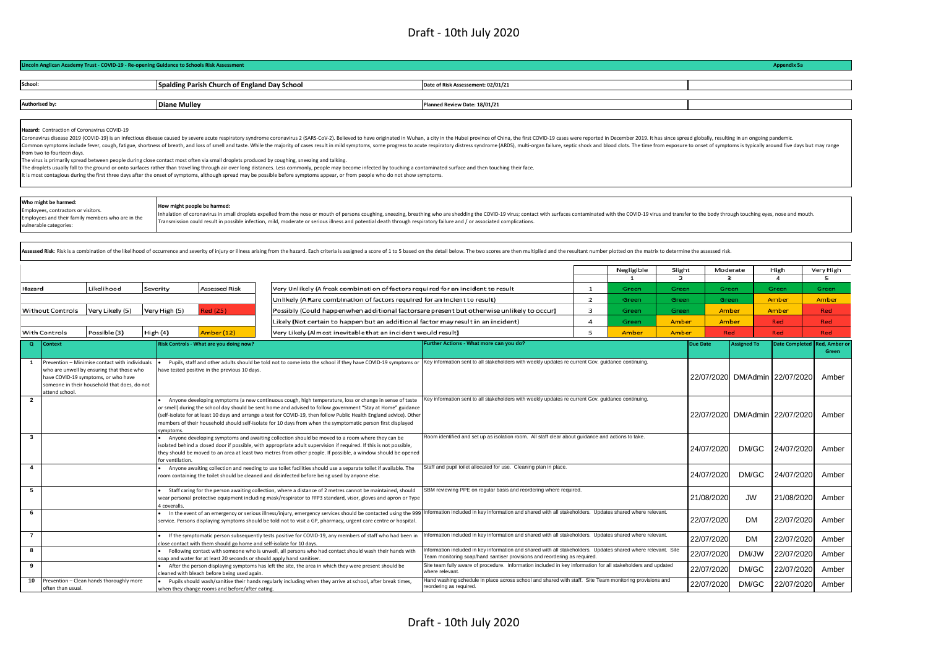|                                                                                                                                                                                                                                                           | Lincoln Anglican Academy Trust - COVID-19 - Re-opening Guidance to Schools Risk Assessment                                                                                                                               |                                                                      |                                                                                                                                                                                                                                                                                                                                                                                                                                                                                                                                                                                                                                                                                                                                                                                                                                                                                    |                                                                                                                                                                                                                                                                                                            |                |                |                |                                |                    | <b>Appendix 5a</b>    |                |
|-----------------------------------------------------------------------------------------------------------------------------------------------------------------------------------------------------------------------------------------------------------|--------------------------------------------------------------------------------------------------------------------------------------------------------------------------------------------------------------------------|----------------------------------------------------------------------|------------------------------------------------------------------------------------------------------------------------------------------------------------------------------------------------------------------------------------------------------------------------------------------------------------------------------------------------------------------------------------------------------------------------------------------------------------------------------------------------------------------------------------------------------------------------------------------------------------------------------------------------------------------------------------------------------------------------------------------------------------------------------------------------------------------------------------------------------------------------------------|------------------------------------------------------------------------------------------------------------------------------------------------------------------------------------------------------------------------------------------------------------------------------------------------------------|----------------|----------------|----------------|--------------------------------|--------------------|-----------------------|----------------|
| School:                                                                                                                                                                                                                                                   |                                                                                                                                                                                                                          | Spalding Parish Church of England Day School                         |                                                                                                                                                                                                                                                                                                                                                                                                                                                                                                                                                                                                                                                                                                                                                                                                                                                                                    | Date of Risk Assessement: 02/01/21                                                                                                                                                                                                                                                                         |                |                |                |                                |                    |                       |                |
|                                                                                                                                                                                                                                                           |                                                                                                                                                                                                                          |                                                                      |                                                                                                                                                                                                                                                                                                                                                                                                                                                                                                                                                                                                                                                                                                                                                                                                                                                                                    |                                                                                                                                                                                                                                                                                                            |                |                |                |                                |                    |                       |                |
| Authorised by:                                                                                                                                                                                                                                            |                                                                                                                                                                                                                          | <b>Diane Mulley</b>                                                  |                                                                                                                                                                                                                                                                                                                                                                                                                                                                                                                                                                                                                                                                                                                                                                                                                                                                                    | Planned Review Date: 18/01/21                                                                                                                                                                                                                                                                              |                |                |                |                                |                    |                       |                |
|                                                                                                                                                                                                                                                           | Hazard: Contraction of Coronavirus COVID-19<br>from two to fourteen davs.<br>The virus is primarily spread between people during close contact most often via small droplets produced by coughing, sneezing and talking. |                                                                      | Coronavirus disease 2019 (COVID-19) is an infectious disease caused by severe acute respiratory syndrome coronavirus 2 (SARS-CoV-2). Believed to have originated in Wuhan, a city in the Hubei province of China, the first CO<br>Common symptoms include fever, cough, fatigue, shortness of breath, and loss of smell and taste. While the majority of cases result in mild symptoms, some progress to acute respiratory distress syndrome (ARDS), multi-organ<br>The droplets usually fall to the ground or onto surfaces rather than travelling through air over long distances. Less commonly, people may become infected by touching a contaminated surface and then touching their face.<br>It is most contagious during the first three days after the onset of symptoms, although spread may be possible before symptoms appear, or from people who do not show symptoms. |                                                                                                                                                                                                                                                                                                            |                |                |                |                                |                    |                       |                |
|                                                                                                                                                                                                                                                           | Who might be harmed:<br>Employees, contractors or visitors.<br>Employees and their family members who are in the<br>vulnerable categories:                                                                               | How might people be harmed:                                          | Inhalation of coronavirus in small droplets expelled from the nose or mouth of persons coughing, sneezing, breathing who are shedding the COVID-19 virus; contact with surfaces contaminated with the COVID-19 virus and trans<br>Transmission could result in possible infection, mild, moderate or serious illness and potential death through respiratory failure and / or associated complications.                                                                                                                                                                                                                                                                                                                                                                                                                                                                            |                                                                                                                                                                                                                                                                                                            |                |                |                |                                |                    |                       |                |
|                                                                                                                                                                                                                                                           |                                                                                                                                                                                                                          |                                                                      | Assessed Risk: Risk is a combination of the likelihood of occurrence and severity of injury or illness arising from the hazard. Each criteria is assigned a score of 1 to 5 based on the detail below. The two scores are then                                                                                                                                                                                                                                                                                                                                                                                                                                                                                                                                                                                                                                                     |                                                                                                                                                                                                                                                                                                            |                | Negligible     | Slight         | Moderate                       |                    | High                  | Very High      |
|                                                                                                                                                                                                                                                           |                                                                                                                                                                                                                          |                                                                      |                                                                                                                                                                                                                                                                                                                                                                                                                                                                                                                                                                                                                                                                                                                                                                                                                                                                                    |                                                                                                                                                                                                                                                                                                            |                | $\mathbf{1}$   | $\overline{2}$ | 3                              |                    | 4                     | 5              |
| Hazard                                                                                                                                                                                                                                                    | Likelihood                                                                                                                                                                                                               | <b>Assessed Risk</b><br>Severity                                     | Very Unlikely (A freak combination of factors required for an incident to result                                                                                                                                                                                                                                                                                                                                                                                                                                                                                                                                                                                                                                                                                                                                                                                                   |                                                                                                                                                                                                                                                                                                            | $\mathbf{1}$   | Green          | Green          | Green                          |                    | Green                 | Green          |
| Unlikely (A Rare combination of factors required for an incient to result)                                                                                                                                                                                |                                                                                                                                                                                                                          |                                                                      |                                                                                                                                                                                                                                                                                                                                                                                                                                                                                                                                                                                                                                                                                                                                                                                                                                                                                    | $\overline{2}$<br>3                                                                                                                                                                                                                                                                                        | Green<br>Green | Green<br>Green | Green<br>Amber |                                | Amber<br>Amber     | Amber<br>Red          |                |
| Very Likely (5)<br>Red (25)<br><b>Without Controls</b><br>Very High (5)<br>Possibly (Could happenwhen additional factorsare present but otherwise unlikely to occur)<br>Likely (Not certain to happen but an additional factor may result in an incident) |                                                                                                                                                                                                                          |                                                                      | 4                                                                                                                                                                                                                                                                                                                                                                                                                                                                                                                                                                                                                                                                                                                                                                                                                                                                                  | Green                                                                                                                                                                                                                                                                                                      | Amber          | Amber          |                | Red                            | Red                |                       |                |
|                                                                                                                                                                                                                                                           | With Controls<br>Possible (3)                                                                                                                                                                                            | Amber (12)<br>High (4)                                               | Very Likely (Almost inevitable that an incident would result)                                                                                                                                                                                                                                                                                                                                                                                                                                                                                                                                                                                                                                                                                                                                                                                                                      |                                                                                                                                                                                                                                                                                                            | 5              | Amber          | Amber          | Red                            |                    | Red                   | Red            |
| $\Omega$                                                                                                                                                                                                                                                  | <b>Context</b>                                                                                                                                                                                                           | Risk Controls - What are you doing now?                              |                                                                                                                                                                                                                                                                                                                                                                                                                                                                                                                                                                                                                                                                                                                                                                                                                                                                                    | Further Actions - What more can you do?                                                                                                                                                                                                                                                                    |                |                |                | <b>Due Date</b>                | <b>Assigned To</b> | <b>Date Completed</b> | Red. Amber     |
| $\mathbf{1}$                                                                                                                                                                                                                                              | Prevention - Minimise contact with individuals<br>who are unwell by ensuring that those who<br>have COVID-19 symptoms, or who have<br>someone in their household that does, do not<br>attend school                      | have tested positive in the previous 10 days.                        | Pupils, staff and other adults should be told not to come into the school if they have COVID-19 symptoms or                                                                                                                                                                                                                                                                                                                                                                                                                                                                                                                                                                                                                                                                                                                                                                        | Key information sent to all stakeholders with weekly updates re current Gov. guidance continuing.                                                                                                                                                                                                          |                |                |                | 22/07/2020 DM/Admin 22/07/2020 |                    |                       | Green<br>Amber |
| $\overline{2}$                                                                                                                                                                                                                                            |                                                                                                                                                                                                                          | ymptoms                                                              | Anyone developing symptoms (a new continuous cough, high temperature, loss or change in sense of taste<br>or smell) during the school day should be sent home and advised to follow government "Stay at Home" guidance<br>(self-isolate for at least 10 days and arrange a test for COVID-19, then follow Public Health England advice). Other<br>members of their household should self-isolate for 10 days from when the symptomatic person first displayed                                                                                                                                                                                                                                                                                                                                                                                                                      | Key information sent to all stakeholders with weekly updates re current Gov. guidance continuing.                                                                                                                                                                                                          |                |                |                | 22/07/2020 DM/Admin 22/07/2020 |                    |                       | Amber          |
| $\mathbf{3}$                                                                                                                                                                                                                                              |                                                                                                                                                                                                                          | for ventilation.                                                     | Anyone developing symptoms and awaiting collection should be moved to a room where they can be<br>isolated behind a closed door if possible, with appropriate adult supervision if required. If this is not possible,<br>they should be moved to an area at least two metres from other people. If possible, a window should be opened                                                                                                                                                                                                                                                                                                                                                                                                                                                                                                                                             | Room identified and set up as isolation room. All staff clear about guidance and actions to take.                                                                                                                                                                                                          |                |                |                | 24/07/2020                     | DM/GC              | 24/07/2020            | Amber          |
| $\overline{4}$                                                                                                                                                                                                                                            |                                                                                                                                                                                                                          |                                                                      | Anyone awaiting collection and needing to use toilet facilities should use a separate toilet if available. The<br>room containing the toilet should be cleaned and disinfected before being used by anyone else.                                                                                                                                                                                                                                                                                                                                                                                                                                                                                                                                                                                                                                                                   | Staff and pupil toilet allocated for use. Cleaning plan in place.                                                                                                                                                                                                                                          |                |                |                | 24/07/2020                     | DM/GC              | 24/07/2020            | Amber          |
| 5                                                                                                                                                                                                                                                         |                                                                                                                                                                                                                          | coveralls                                                            | Staff caring for the person awaiting collection, where a distance of 2 metres cannot be maintained, should<br>wear personal protective equipment including mask/respirator to FFP3 standard, visor, gloves and apron or Type                                                                                                                                                                                                                                                                                                                                                                                                                                                                                                                                                                                                                                                       | SBM reviewing PPE on regular basis and reordering where required.                                                                                                                                                                                                                                          |                |                |                | 21/08/2020                     | <b>JW</b>          | 21/08/2020            | Amber          |
| 6                                                                                                                                                                                                                                                         |                                                                                                                                                                                                                          |                                                                      | In the event of an emergency or serious illness/injury, emergency services should be contacted using the 999<br>service. Persons displaying symptoms should be told not to visit a GP, pharmacy, urgent care centre or hospital.                                                                                                                                                                                                                                                                                                                                                                                                                                                                                                                                                                                                                                                   | Information included in key information and shared with all stakeholders. Updates shared where relevant.                                                                                                                                                                                                   |                |                |                | 22/07/2020                     | <b>DM</b>          | 22/07/2020            | Amber          |
| $\overline{7}$                                                                                                                                                                                                                                            |                                                                                                                                                                                                                          | lose contact with them should go home and self-isolate for 10 days.  | If the symptomatic person subsequently tests positive for COVID-19, any members of staff who had been in                                                                                                                                                                                                                                                                                                                                                                                                                                                                                                                                                                                                                                                                                                                                                                           | Information included in key information and shared with all stakeholders. Updates shared where relevant.                                                                                                                                                                                                   |                |                |                | 22/07/2020                     | <b>DM</b>          | 22/07/2020            | Amber          |
| 8<br>9                                                                                                                                                                                                                                                    |                                                                                                                                                                                                                          | oap and water for at least 20 seconds or should apply hand sanitiser | Following contact with someone who is unwell, all persons who had contact should wash their hands with                                                                                                                                                                                                                                                                                                                                                                                                                                                                                                                                                                                                                                                                                                                                                                             | Information included in key information and shared with all stakeholders. Updates shared where relevant. Site<br>Team monitoring soap/hand santiser provisions and reordering as required.<br>Site team fully aware of procedure. Information included in key information for all stakeholders and updated |                |                |                | 22/07/2020                     | DM/JW              | 22/07/2020            | Amber          |
|                                                                                                                                                                                                                                                           |                                                                                                                                                                                                                          | aned with bleach before being used again.                            | After the person displaying symptoms has left the site, the area in which they were present should be                                                                                                                                                                                                                                                                                                                                                                                                                                                                                                                                                                                                                                                                                                                                                                              | where relevant                                                                                                                                                                                                                                                                                             |                |                |                | 22/07/2020                     | DM/GC              | 22/07/2020            | Amber          |
| 10                                                                                                                                                                                                                                                        | Prevention - Clean hands thoroughly more<br>often than usual.                                                                                                                                                            | when they change rooms and before/after eating.                      | Pupils should wash/sanitise their hands regularly including when they arrive at school, after break times,                                                                                                                                                                                                                                                                                                                                                                                                                                                                                                                                                                                                                                                                                                                                                                         | Hand washing schedule in place across school and shared with staff. Site Team monitoring provisions and<br>reordering as required.                                                                                                                                                                         |                |                |                | 22/07/2020                     | DM/GC              | 22/07/2020            | Amber          |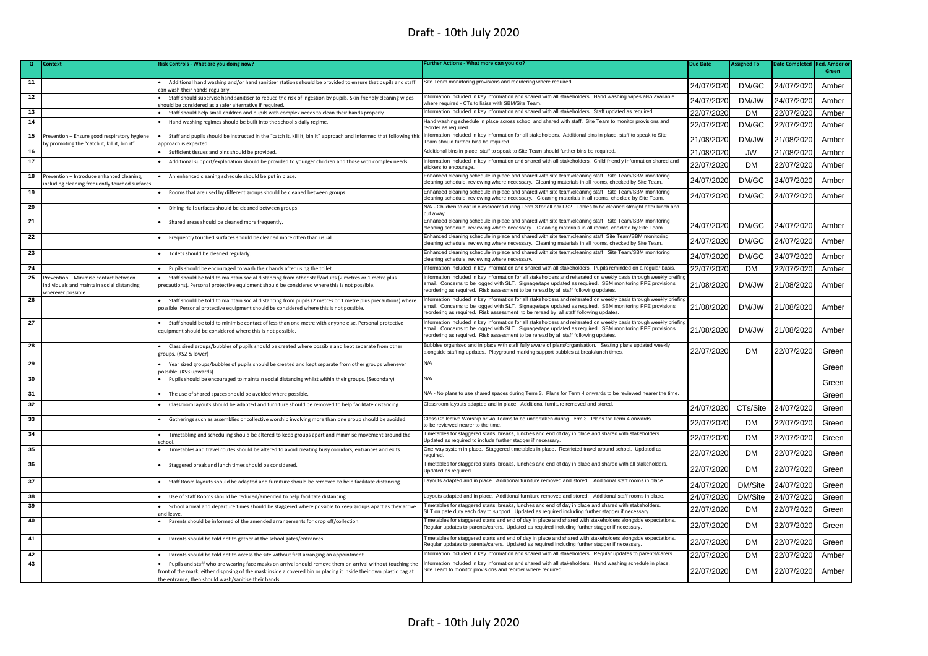| Green<br>Site Team monirtoring provisions and reordering where required.<br>11<br>Additional hand washing and/or hand sanitiser stations should be provided to ensure that pupils and staff<br>24/07/2020<br>DM/GC<br>24/07/2020<br>in wash their hands regularly<br>12<br>Information included in key information and shared with all stakeholders. Hand washing wipes also available<br>Staff should supervise hand sanitiser to reduce the risk of ingestion by pupils. Skin friendly cleaning wipes<br>DM/JW<br>24/07/2020<br>24/07/2020<br>where required - CTs to liaise with SBM/Site Team<br>hould be considered as a safer alternative if required.<br>Information included in key information and shared with all stakeholders. Staff updated as required.<br>13<br>22/07/2020<br>DM<br>22/07/2020<br>Staff should help small children and pupils with complex needs to clean their hands properly.<br>14<br>Hand washing schedule in place across school and shared with staff. Site Team to monitor provisions and<br>Hand washing regimes should be built into the school's daily regime.<br>22/07/2020<br>DM/GC<br>22/07/2020<br>reorder as required<br>Information included in key information for all stakeholders. Additional bins in place, staff to speak to Site<br>15<br>revention - Ensure good respiratory hygiene<br>Staff and pupils should be instructed in the "catch it, kill it, bin it" approach and informed that following this<br>21/08/2020<br>DM/JW<br>21/08/2020<br>Team should further bins be required.<br>by promoting the "catch it, kill it, bin it"<br>oproach is expected.<br>Additional bins in place, staff to speak to Site Team should further bins be required.<br>16<br>Sufficient tissues and bins should be provided.<br>21/08/2020<br><b>JW</b><br>21/08/2020<br>17<br>Information included in key information and shared with all stakeholders. Child friendly information shared and<br>Additional support/explanation should be provided to younger children and those with complex needs.<br><b>DM</b><br>22/07/2020<br>22/07/2020<br>stickers to encourage<br>Enhanced cleaning schedule in place and shared with site team/cleaning staff. Site Team/SBM monitoring<br>18<br>Prevention - Introduce enhanced cleaning,<br>An enhanced cleaning schedule should be put in place.<br>DM/GC<br>24/07/2020<br>24/07/2020<br>cleaning schedule, reviewing where necessary. Cleaning materials in all rooms, checked by Site Team.<br>ncluding cleaning frequently touched surfaces<br>Enhanced cleaning schedule in place and shared with site team/cleaning staff. Site Team/SBM monitoring<br>19<br>Rooms that are used by different groups should be cleaned between groups.<br>24/07/2020<br>DM/GC<br>24/07/2020<br>cleaning schedule, reviewing where necessary. Cleaning materials in all rooms, checked by Site Team.<br>N/A - Children to eat in classrooms during Term 3 for all bar FS2. Tables to be cleaned straight after lunch and<br>20<br>Dining Hall surfaces should be cleaned between groups.<br>put away.<br>Enhanced cleaning schedule in place and shared with site team/cleaning staff. Site Team/SBM monitoring<br>21<br>Shared areas should be cleaned more frequently<br>24/07/2020<br>DM/GC<br>24/07/2020<br>cleaning schedule, reviewing where necessary. Cleaning materials in all rooms, checked by Site Team.<br>22<br>Enhanced cleaning schedule in place and shared with site team/cleaning staff. Site Team/SBM monitoring<br>Frequently touched surfaces should be cleaned more often than usual.<br>DM/GC<br>24/07/2020<br>24/07/2020<br>cleaning schedule, reviewing where necessary. Cleaning materials in all rooms, checked by Site Team.<br>Enhanced cleaning schedule in place and shared with site team/cleaning staff. Site Team/SBM monitoring<br>23<br>Toilets should be cleaned regularly.<br>DM/GC<br>24/07/2020<br>24/07/2020<br>cleaning schedule, reviewing where necessary.<br>24<br>Information included in key information and shared with all stakeholders. Pupils reminded on a regular basis.<br>22/07/2020<br>DM<br>22/07/2020<br>Pupils should be encouraged to wash their hands after using the toilet<br>25<br>Prevention - Minimise contact between<br>Information included in key information for all stakeholders and reiterated on weekly basis through weekly breifir<br>Staff should be told to maintain social distancing from other staff/adults (2 metres or 1 metre plus<br>email. Concerns to be logged with SLT. Signage/tape updated as required. SBM monitoring PPE provisions<br>21/08/2020<br>DM/JW<br>21/08/2020<br>individuals and maintain social distancing<br>precautions). Personal protective equipment should be considered where this is not possible.<br>eordering as required. Risk assessment to be reread by all staff following updates.<br>wherever possible.<br>Information included in key information for all stakeholders and reiterated on weekly basis through weekly briefin<br>26<br>Staff should be told to maintain social distancing from pupils (2 metres or 1 metre plus precautions) where<br>email. Concerns to be logged with SLT. Signage/tape updated as required. SBM monitoring PPE provisions<br>21/08/2020<br>DM/JW<br>21/08/2020<br>possible. Personal protective equipment should be considered where this is not possible.<br>reordering as required. Risk assessment to be reread by all staff following updates.<br>Information included in key information for all stakeholders and reiterated on weekly basis through weekly briefin<br>27<br>Staff should be told to minimise contact of less than one metre with anyone else. Personal protective<br>email. Concerns to be logged with SLT. Signage/tape updated as required. SBM monitoring PPE provisions<br>DM/JW<br>equipment should be considered where this is not possible.<br>21/08/2020<br>21/08/2020<br>reordering as required. Risk assessment to be reread by all staff following updates.<br>Bubbles organised and in place with staff fully aware of plans/organisation. Seating plans updated weekly<br>28<br>Class sized groups/bubbles of pupils should be created where possible and kept separate from other<br>22/07/2020<br>DM<br>22/07/2020<br>alongside staffing updates. Playground marking support bubbles at break/lunch times.<br>(roups. (KS2 & lower)<br>N/A<br>29<br>Year sized groups/bubbles of pupils should be created and kept separate from other groups whenever<br>ossible. (KS3 upwards)<br>N/A<br>30<br>Pupils should be encouraged to maintain social distancing whilst within their groups. (Secondary)<br>N/A - No plans to use shared spaces during Term 3. Plans for Term 4 onwards to be reviewed nearer the time.<br>31<br>The use of shared spaces should be avoided where possible.<br>Classroom layouts adapted and in place. Additional furniture removed and stored.<br>32<br>Classroom layouts should be adapted and furniture should be removed to help facilitate distancing.<br>24/07/2020<br>CTs/Site<br>24/07/2020<br>33<br>Class Collective Worship or via Teams to be undertaken during Term 3. Plans for Term 4 onwards<br>Gatherings such as assemblies or collective worship involving more than one group should be avoided.<br>22/07/2020<br>22/07/2020<br>DM<br>to be reviewed nearer to the time.<br>Timetables for staggered starts, breaks, lunches and end of day in place and shared with stakeholders.<br>34<br>Timetabling and scheduling should be altered to keep groups apart and minimise movement around the<br>22/07/2020<br>DM<br>22/07/2020<br>Jpdated as required to include further stagger if necessary<br>chool<br>35<br>One way system in place. Staggered timetables in place. Restricted travel around school. Updated as<br>Timetables and travel routes should be altered to avoid creating busy corridors, entrances and exits.<br><b>DM</b><br>22/07/2020<br>22/07/2020<br>required.<br>Timetables for staggered starts, breaks, lunches and end of day in place and shared with all stakeholders<br>36<br>Staggered break and lunch times should be considered.<br>22/07/2020<br><b>DM</b><br>22/07/2020<br>Updated as required.<br>Layouts adapted and in place. Additional furniture removed and stored. Additional staff rooms in place.<br>37<br>Staff Room layouts should be adapted and furniture should be removed to help facilitate distancing.<br>24/07/2020<br>DM/Site<br>24/07/2020<br>38<br>Layouts adapted and in place. Additional furniture removed and stored. Additional staff rooms in place.<br>24/07/2020<br>DM/Site<br>24/07/2020<br>Use of Staff Rooms should be reduced/amended to help facilitate distancing<br>39<br>Timetables for staggered starts, breaks, lunches and end of day in place and shared with stakeholders.<br>School arrival and departure times should be staggered where possible to keep groups apart as they arrive<br>22/07/2020<br><b>DM</b><br>22/07/2020<br>SLT on gate duty each day to support. Updated as required including further stagger if necessary.<br>nd leave<br>Timetables for staggered starts and end of day in place and shared with stakeholders alongside expectations.<br>40<br>Parents should be informed of the amended arrangements for drop off/collection<br>22/07/2020<br><b>DM</b><br>22/07/2020<br>Regular updates to parents/carers. Updated as required including further stagger if necessary.<br>Timetables for staggered starts and end of day in place and shared with stakeholders alongside expectations.<br>41<br>Parents should be told not to gather at the school gates/entrances.<br><b>DM</b><br>22/07/2020<br>22/07/2020<br>Regular updates to parents/carers. Updated as required including further stagger if necessary<br>Information included in key information and shared with all stakeholders. Reqular updates to parents/carers.<br>42<br>22/07/2020<br>DM<br>22/07/2020<br>Parents should be told not to access the site without first arranging an appointment.<br>43<br>Information included in key information and shared with all stakeholders. Hand washing schedule in place.<br>Pupils and staff who are wearing face masks on arrival should remove them on arrival without touching the<br>Site Team to monitor provisions and reorder where required.<br>22/07/2020<br><b>DM</b><br>22/07/2020<br>ront of the mask, either disposing of the mask inside a covered bin or placing it inside their own plastic bag at<br>the entrance, then should wash/sanitise their hands. | $\alpha$ | <b>Context</b> | Risk Controls - What are you doing now? | Further Actions - What more can you do? | <b>Due Date</b> | <b>Assigned To</b> | <b>Date Completed</b> | Red, Amber |
|---------------------------------------------------------------------------------------------------------------------------------------------------------------------------------------------------------------------------------------------------------------------------------------------------------------------------------------------------------------------------------------------------------------------------------------------------------------------------------------------------------------------------------------------------------------------------------------------------------------------------------------------------------------------------------------------------------------------------------------------------------------------------------------------------------------------------------------------------------------------------------------------------------------------------------------------------------------------------------------------------------------------------------------------------------------------------------------------------------------------------------------------------------------------------------------------------------------------------------------------------------------------------------------------------------------------------------------------------------------------------------------------------------------------------------------------------------------------------------------------------------------------------------------------------------------------------------------------------------------------------------------------------------------------------------------------------------------------------------------------------------------------------------------------------------------------------------------------------------------------------------------------------------------------------------------------------------------------------------------------------------------------------------------------------------------------------------------------------------------------------------------------------------------------------------------------------------------------------------------------------------------------------------------------------------------------------------------------------------------------------------------------------------------------------------------------------------------------------------------------------------------------------------------------------------------------------------------------------------------------------------------------------------------------------------------------------------------------------------------------------------------------------------------------------------------------------------------------------------------------------------------------------------------------------------------------------------------------------------------------------------------------------------------------------------------------------------------------------------------------------------------------------------------------------------------------------------------------------------------------------------------------------------------------------------------------------------------------------------------------------------------------------------------------------------------------------------------------------------------------------------------------------------------------------------------------------------------------------------------------------------------------------------------------------------------------------------------------------------------------------------------------------------------------------------------------------------------------------------------------------------------------------------------------------------------------------------------------------------------------------------------------------------------------------------------------------------------------------------------------------------------------------------------------------------------------------------------------------------------------------------------------------------------------------------------------------------------------------------------------------------------------------------------------------------------------------------------------------------------------------------------------------------------------------------------------------------------------------------------------------------------------------------------------------------------------------------------------------------------------------------------------------------------------------------------------------------------------------------------------------------------------------------------------------------------------------------------------------------------------------------------------------------------------------------------------------------------------------------------------------------------------------------------------------------------------------------------------------------------------------------------------------------------------------------------------------------------------------------------------------------------------------------------------------------------------------------------------------------------------------------------------------------------------------------------------------------------------------------------------------------------------------------------------------------------------------------------------------------------------------------------------------------------------------------------------------------------------------------------------------------------------------------------------------------------------------------------------------------------------------------------------------------------------------------------------------------------------------------------------------------------------------------------------------------------------------------------------------------------------------------------------------------------------------------------------------------------------------------------------------------------------------------------------------------------------------------------------------------------------------------------------------------------------------------------------------------------------------------------------------------------------------------------------------------------------------------------------------------------------------------------------------------------------------------------------------------------------------------------------------------------------------------------------------------------------------------------------------------------------------------------------------------------------------------------------------------------------------------------------------------------------------------------------------------------------------------------------------------------------------------------------------------------------------------------------------------------------------------------------------------------------------------------------------------------------------------------------------------------------------------------------------------------------------------------------------------------------------------------------------------------------------------------------------------------------------------------------------------------------------------------------------------------------------------------------------------------------------------------------------------------------------------------------------------------------------------------------------------------------------------------------------------------------------------------------------------------------------------------------------------------------------------------------------------------------------------------------------------------------------------------------------------------------------------------------------------------------------------------------------------------------------------------------------------------------------------------------------------------------------------------------------------------------------------------------------------------------------------------------------------------------------------------------------------------------------------------------------------------------------------------------------------------------------------------------------------------------------------------------------------------------------------------------------------------------------------------------------------------------------------------------------------------------------------------------------------------------------------------------------------------------------------------------------------------------------------------------------------------------------------------------------------------------------------------------------------------------------------------------------------------------------------------------------------------------------------------------------------------------------------------------------------------------------------------------------------------------------------------------------------------------------------------------------------------------------------------------------------------------------------------------------------------------------------------------------------------------------------------------------------------------------------------------------------------------------------------------------------------------------------------------------------------------------------------------------------------------------------------------------------------------------------------------------------------------------------------------------------------------------------------------------------------------------------------------------------------------------------------------------------------------------------------------------------------------------------------------------------------------------------------------------------------------------------------------------------------------------------------------------|----------|----------------|-----------------------------------------|-----------------------------------------|-----------------|--------------------|-----------------------|------------|
|                                                                                                                                                                                                                                                                                                                                                                                                                                                                                                                                                                                                                                                                                                                                                                                                                                                                                                                                                                                                                                                                                                                                                                                                                                                                                                                                                                                                                                                                                                                                                                                                                                                                                                                                                                                                                                                                                                                                                                                                                                                                                                                                                                                                                                                                                                                                                                                                                                                                                                                                                                                                                                                                                                                                                                                                                                                                                                                                                                                                                                                                                                                                                                                                                                                                                                                                                                                                                                                                                                                                                                                                                                                                                                                                                                                                                                                                                                                                                                                                                                                                                                                                                                                                                                                                                                                                                                                                                                                                                                                                                                                                                                                                                                                                                                                                                                                                                                                                                                                                                                                                                                                                                                                                                                                                                                                                                                                                                                                                                                                                                                                                                                                                                                                                                                                                                                                                                                                                                                                                                                                                                                                                                                                                                                                                                                                                                                                                                                                                                                                                                                                                                                                                                                                                                                                                                                                                                                                                                                                                                                                                                                                                                                                                                                                                                                                                                                                                                                                                                                                                                                                                                                                                                                                                                                                                                                                                                                                                                                                                                                                                                                                                                                                                                                                                                                                                                                                                                                                                                                                                                                                                                                                                                                                                                                                                                                                                                                                                                                                                                                                                                                                                                                                                                                                                                                                                                                                                                                                                                                                                                                                                                                                                                                                                                                                                                                                                                                                                                                                                                                                                                                                                                                                                                                                                                                                                                                                                                                                                                                                                                                                                                           |          |                |                                         |                                         |                 |                    |                       |            |
|                                                                                                                                                                                                                                                                                                                                                                                                                                                                                                                                                                                                                                                                                                                                                                                                                                                                                                                                                                                                                                                                                                                                                                                                                                                                                                                                                                                                                                                                                                                                                                                                                                                                                                                                                                                                                                                                                                                                                                                                                                                                                                                                                                                                                                                                                                                                                                                                                                                                                                                                                                                                                                                                                                                                                                                                                                                                                                                                                                                                                                                                                                                                                                                                                                                                                                                                                                                                                                                                                                                                                                                                                                                                                                                                                                                                                                                                                                                                                                                                                                                                                                                                                                                                                                                                                                                                                                                                                                                                                                                                                                                                                                                                                                                                                                                                                                                                                                                                                                                                                                                                                                                                                                                                                                                                                                                                                                                                                                                                                                                                                                                                                                                                                                                                                                                                                                                                                                                                                                                                                                                                                                                                                                                                                                                                                                                                                                                                                                                                                                                                                                                                                                                                                                                                                                                                                                                                                                                                                                                                                                                                                                                                                                                                                                                                                                                                                                                                                                                                                                                                                                                                                                                                                                                                                                                                                                                                                                                                                                                                                                                                                                                                                                                                                                                                                                                                                                                                                                                                                                                                                                                                                                                                                                                                                                                                                                                                                                                                                                                                                                                                                                                                                                                                                                                                                                                                                                                                                                                                                                                                                                                                                                                                                                                                                                                                                                                                                                                                                                                                                                                                                                                                                                                                                                                                                                                                                                                                                                                                                                                                                                                                                           |          |                |                                         |                                         |                 |                    |                       | Amber      |
|                                                                                                                                                                                                                                                                                                                                                                                                                                                                                                                                                                                                                                                                                                                                                                                                                                                                                                                                                                                                                                                                                                                                                                                                                                                                                                                                                                                                                                                                                                                                                                                                                                                                                                                                                                                                                                                                                                                                                                                                                                                                                                                                                                                                                                                                                                                                                                                                                                                                                                                                                                                                                                                                                                                                                                                                                                                                                                                                                                                                                                                                                                                                                                                                                                                                                                                                                                                                                                                                                                                                                                                                                                                                                                                                                                                                                                                                                                                                                                                                                                                                                                                                                                                                                                                                                                                                                                                                                                                                                                                                                                                                                                                                                                                                                                                                                                                                                                                                                                                                                                                                                                                                                                                                                                                                                                                                                                                                                                                                                                                                                                                                                                                                                                                                                                                                                                                                                                                                                                                                                                                                                                                                                                                                                                                                                                                                                                                                                                                                                                                                                                                                                                                                                                                                                                                                                                                                                                                                                                                                                                                                                                                                                                                                                                                                                                                                                                                                                                                                                                                                                                                                                                                                                                                                                                                                                                                                                                                                                                                                                                                                                                                                                                                                                                                                                                                                                                                                                                                                                                                                                                                                                                                                                                                                                                                                                                                                                                                                                                                                                                                                                                                                                                                                                                                                                                                                                                                                                                                                                                                                                                                                                                                                                                                                                                                                                                                                                                                                                                                                                                                                                                                                                                                                                                                                                                                                                                                                                                                                                                                                                                                                                           |          |                |                                         |                                         |                 |                    |                       | Amber      |
|                                                                                                                                                                                                                                                                                                                                                                                                                                                                                                                                                                                                                                                                                                                                                                                                                                                                                                                                                                                                                                                                                                                                                                                                                                                                                                                                                                                                                                                                                                                                                                                                                                                                                                                                                                                                                                                                                                                                                                                                                                                                                                                                                                                                                                                                                                                                                                                                                                                                                                                                                                                                                                                                                                                                                                                                                                                                                                                                                                                                                                                                                                                                                                                                                                                                                                                                                                                                                                                                                                                                                                                                                                                                                                                                                                                                                                                                                                                                                                                                                                                                                                                                                                                                                                                                                                                                                                                                                                                                                                                                                                                                                                                                                                                                                                                                                                                                                                                                                                                                                                                                                                                                                                                                                                                                                                                                                                                                                                                                                                                                                                                                                                                                                                                                                                                                                                                                                                                                                                                                                                                                                                                                                                                                                                                                                                                                                                                                                                                                                                                                                                                                                                                                                                                                                                                                                                                                                                                                                                                                                                                                                                                                                                                                                                                                                                                                                                                                                                                                                                                                                                                                                                                                                                                                                                                                                                                                                                                                                                                                                                                                                                                                                                                                                                                                                                                                                                                                                                                                                                                                                                                                                                                                                                                                                                                                                                                                                                                                                                                                                                                                                                                                                                                                                                                                                                                                                                                                                                                                                                                                                                                                                                                                                                                                                                                                                                                                                                                                                                                                                                                                                                                                                                                                                                                                                                                                                                                                                                                                                                                                                                                                                           |          |                |                                         |                                         |                 |                    |                       | Amber      |
|                                                                                                                                                                                                                                                                                                                                                                                                                                                                                                                                                                                                                                                                                                                                                                                                                                                                                                                                                                                                                                                                                                                                                                                                                                                                                                                                                                                                                                                                                                                                                                                                                                                                                                                                                                                                                                                                                                                                                                                                                                                                                                                                                                                                                                                                                                                                                                                                                                                                                                                                                                                                                                                                                                                                                                                                                                                                                                                                                                                                                                                                                                                                                                                                                                                                                                                                                                                                                                                                                                                                                                                                                                                                                                                                                                                                                                                                                                                                                                                                                                                                                                                                                                                                                                                                                                                                                                                                                                                                                                                                                                                                                                                                                                                                                                                                                                                                                                                                                                                                                                                                                                                                                                                                                                                                                                                                                                                                                                                                                                                                                                                                                                                                                                                                                                                                                                                                                                                                                                                                                                                                                                                                                                                                                                                                                                                                                                                                                                                                                                                                                                                                                                                                                                                                                                                                                                                                                                                                                                                                                                                                                                                                                                                                                                                                                                                                                                                                                                                                                                                                                                                                                                                                                                                                                                                                                                                                                                                                                                                                                                                                                                                                                                                                                                                                                                                                                                                                                                                                                                                                                                                                                                                                                                                                                                                                                                                                                                                                                                                                                                                                                                                                                                                                                                                                                                                                                                                                                                                                                                                                                                                                                                                                                                                                                                                                                                                                                                                                                                                                                                                                                                                                                                                                                                                                                                                                                                                                                                                                                                                                                                                                                           |          |                |                                         |                                         |                 |                    |                       | Amber      |
|                                                                                                                                                                                                                                                                                                                                                                                                                                                                                                                                                                                                                                                                                                                                                                                                                                                                                                                                                                                                                                                                                                                                                                                                                                                                                                                                                                                                                                                                                                                                                                                                                                                                                                                                                                                                                                                                                                                                                                                                                                                                                                                                                                                                                                                                                                                                                                                                                                                                                                                                                                                                                                                                                                                                                                                                                                                                                                                                                                                                                                                                                                                                                                                                                                                                                                                                                                                                                                                                                                                                                                                                                                                                                                                                                                                                                                                                                                                                                                                                                                                                                                                                                                                                                                                                                                                                                                                                                                                                                                                                                                                                                                                                                                                                                                                                                                                                                                                                                                                                                                                                                                                                                                                                                                                                                                                                                                                                                                                                                                                                                                                                                                                                                                                                                                                                                                                                                                                                                                                                                                                                                                                                                                                                                                                                                                                                                                                                                                                                                                                                                                                                                                                                                                                                                                                                                                                                                                                                                                                                                                                                                                                                                                                                                                                                                                                                                                                                                                                                                                                                                                                                                                                                                                                                                                                                                                                                                                                                                                                                                                                                                                                                                                                                                                                                                                                                                                                                                                                                                                                                                                                                                                                                                                                                                                                                                                                                                                                                                                                                                                                                                                                                                                                                                                                                                                                                                                                                                                                                                                                                                                                                                                                                                                                                                                                                                                                                                                                                                                                                                                                                                                                                                                                                                                                                                                                                                                                                                                                                                                                                                                                                                           |          |                |                                         |                                         |                 |                    |                       | Amber      |
|                                                                                                                                                                                                                                                                                                                                                                                                                                                                                                                                                                                                                                                                                                                                                                                                                                                                                                                                                                                                                                                                                                                                                                                                                                                                                                                                                                                                                                                                                                                                                                                                                                                                                                                                                                                                                                                                                                                                                                                                                                                                                                                                                                                                                                                                                                                                                                                                                                                                                                                                                                                                                                                                                                                                                                                                                                                                                                                                                                                                                                                                                                                                                                                                                                                                                                                                                                                                                                                                                                                                                                                                                                                                                                                                                                                                                                                                                                                                                                                                                                                                                                                                                                                                                                                                                                                                                                                                                                                                                                                                                                                                                                                                                                                                                                                                                                                                                                                                                                                                                                                                                                                                                                                                                                                                                                                                                                                                                                                                                                                                                                                                                                                                                                                                                                                                                                                                                                                                                                                                                                                                                                                                                                                                                                                                                                                                                                                                                                                                                                                                                                                                                                                                                                                                                                                                                                                                                                                                                                                                                                                                                                                                                                                                                                                                                                                                                                                                                                                                                                                                                                                                                                                                                                                                                                                                                                                                                                                                                                                                                                                                                                                                                                                                                                                                                                                                                                                                                                                                                                                                                                                                                                                                                                                                                                                                                                                                                                                                                                                                                                                                                                                                                                                                                                                                                                                                                                                                                                                                                                                                                                                                                                                                                                                                                                                                                                                                                                                                                                                                                                                                                                                                                                                                                                                                                                                                                                                                                                                                                                                                                                                                                           |          |                |                                         |                                         |                 |                    |                       | Amber      |
|                                                                                                                                                                                                                                                                                                                                                                                                                                                                                                                                                                                                                                                                                                                                                                                                                                                                                                                                                                                                                                                                                                                                                                                                                                                                                                                                                                                                                                                                                                                                                                                                                                                                                                                                                                                                                                                                                                                                                                                                                                                                                                                                                                                                                                                                                                                                                                                                                                                                                                                                                                                                                                                                                                                                                                                                                                                                                                                                                                                                                                                                                                                                                                                                                                                                                                                                                                                                                                                                                                                                                                                                                                                                                                                                                                                                                                                                                                                                                                                                                                                                                                                                                                                                                                                                                                                                                                                                                                                                                                                                                                                                                                                                                                                                                                                                                                                                                                                                                                                                                                                                                                                                                                                                                                                                                                                                                                                                                                                                                                                                                                                                                                                                                                                                                                                                                                                                                                                                                                                                                                                                                                                                                                                                                                                                                                                                                                                                                                                                                                                                                                                                                                                                                                                                                                                                                                                                                                                                                                                                                                                                                                                                                                                                                                                                                                                                                                                                                                                                                                                                                                                                                                                                                                                                                                                                                                                                                                                                                                                                                                                                                                                                                                                                                                                                                                                                                                                                                                                                                                                                                                                                                                                                                                                                                                                                                                                                                                                                                                                                                                                                                                                                                                                                                                                                                                                                                                                                                                                                                                                                                                                                                                                                                                                                                                                                                                                                                                                                                                                                                                                                                                                                                                                                                                                                                                                                                                                                                                                                                                                                                                                                                           |          |                |                                         |                                         |                 |                    |                       | Amber      |
|                                                                                                                                                                                                                                                                                                                                                                                                                                                                                                                                                                                                                                                                                                                                                                                                                                                                                                                                                                                                                                                                                                                                                                                                                                                                                                                                                                                                                                                                                                                                                                                                                                                                                                                                                                                                                                                                                                                                                                                                                                                                                                                                                                                                                                                                                                                                                                                                                                                                                                                                                                                                                                                                                                                                                                                                                                                                                                                                                                                                                                                                                                                                                                                                                                                                                                                                                                                                                                                                                                                                                                                                                                                                                                                                                                                                                                                                                                                                                                                                                                                                                                                                                                                                                                                                                                                                                                                                                                                                                                                                                                                                                                                                                                                                                                                                                                                                                                                                                                                                                                                                                                                                                                                                                                                                                                                                                                                                                                                                                                                                                                                                                                                                                                                                                                                                                                                                                                                                                                                                                                                                                                                                                                                                                                                                                                                                                                                                                                                                                                                                                                                                                                                                                                                                                                                                                                                                                                                                                                                                                                                                                                                                                                                                                                                                                                                                                                                                                                                                                                                                                                                                                                                                                                                                                                                                                                                                                                                                                                                                                                                                                                                                                                                                                                                                                                                                                                                                                                                                                                                                                                                                                                                                                                                                                                                                                                                                                                                                                                                                                                                                                                                                                                                                                                                                                                                                                                                                                                                                                                                                                                                                                                                                                                                                                                                                                                                                                                                                                                                                                                                                                                                                                                                                                                                                                                                                                                                                                                                                                                                                                                                                                           |          |                |                                         |                                         |                 |                    |                       | Amber      |
|                                                                                                                                                                                                                                                                                                                                                                                                                                                                                                                                                                                                                                                                                                                                                                                                                                                                                                                                                                                                                                                                                                                                                                                                                                                                                                                                                                                                                                                                                                                                                                                                                                                                                                                                                                                                                                                                                                                                                                                                                                                                                                                                                                                                                                                                                                                                                                                                                                                                                                                                                                                                                                                                                                                                                                                                                                                                                                                                                                                                                                                                                                                                                                                                                                                                                                                                                                                                                                                                                                                                                                                                                                                                                                                                                                                                                                                                                                                                                                                                                                                                                                                                                                                                                                                                                                                                                                                                                                                                                                                                                                                                                                                                                                                                                                                                                                                                                                                                                                                                                                                                                                                                                                                                                                                                                                                                                                                                                                                                                                                                                                                                                                                                                                                                                                                                                                                                                                                                                                                                                                                                                                                                                                                                                                                                                                                                                                                                                                                                                                                                                                                                                                                                                                                                                                                                                                                                                                                                                                                                                                                                                                                                                                                                                                                                                                                                                                                                                                                                                                                                                                                                                                                                                                                                                                                                                                                                                                                                                                                                                                                                                                                                                                                                                                                                                                                                                                                                                                                                                                                                                                                                                                                                                                                                                                                                                                                                                                                                                                                                                                                                                                                                                                                                                                                                                                                                                                                                                                                                                                                                                                                                                                                                                                                                                                                                                                                                                                                                                                                                                                                                                                                                                                                                                                                                                                                                                                                                                                                                                                                                                                                                                           |          |                |                                         |                                         |                 |                    |                       | Amber      |
|                                                                                                                                                                                                                                                                                                                                                                                                                                                                                                                                                                                                                                                                                                                                                                                                                                                                                                                                                                                                                                                                                                                                                                                                                                                                                                                                                                                                                                                                                                                                                                                                                                                                                                                                                                                                                                                                                                                                                                                                                                                                                                                                                                                                                                                                                                                                                                                                                                                                                                                                                                                                                                                                                                                                                                                                                                                                                                                                                                                                                                                                                                                                                                                                                                                                                                                                                                                                                                                                                                                                                                                                                                                                                                                                                                                                                                                                                                                                                                                                                                                                                                                                                                                                                                                                                                                                                                                                                                                                                                                                                                                                                                                                                                                                                                                                                                                                                                                                                                                                                                                                                                                                                                                                                                                                                                                                                                                                                                                                                                                                                                                                                                                                                                                                                                                                                                                                                                                                                                                                                                                                                                                                                                                                                                                                                                                                                                                                                                                                                                                                                                                                                                                                                                                                                                                                                                                                                                                                                                                                                                                                                                                                                                                                                                                                                                                                                                                                                                                                                                                                                                                                                                                                                                                                                                                                                                                                                                                                                                                                                                                                                                                                                                                                                                                                                                                                                                                                                                                                                                                                                                                                                                                                                                                                                                                                                                                                                                                                                                                                                                                                                                                                                                                                                                                                                                                                                                                                                                                                                                                                                                                                                                                                                                                                                                                                                                                                                                                                                                                                                                                                                                                                                                                                                                                                                                                                                                                                                                                                                                                                                                                                                           |          |                |                                         |                                         |                 |                    |                       |            |
|                                                                                                                                                                                                                                                                                                                                                                                                                                                                                                                                                                                                                                                                                                                                                                                                                                                                                                                                                                                                                                                                                                                                                                                                                                                                                                                                                                                                                                                                                                                                                                                                                                                                                                                                                                                                                                                                                                                                                                                                                                                                                                                                                                                                                                                                                                                                                                                                                                                                                                                                                                                                                                                                                                                                                                                                                                                                                                                                                                                                                                                                                                                                                                                                                                                                                                                                                                                                                                                                                                                                                                                                                                                                                                                                                                                                                                                                                                                                                                                                                                                                                                                                                                                                                                                                                                                                                                                                                                                                                                                                                                                                                                                                                                                                                                                                                                                                                                                                                                                                                                                                                                                                                                                                                                                                                                                                                                                                                                                                                                                                                                                                                                                                                                                                                                                                                                                                                                                                                                                                                                                                                                                                                                                                                                                                                                                                                                                                                                                                                                                                                                                                                                                                                                                                                                                                                                                                                                                                                                                                                                                                                                                                                                                                                                                                                                                                                                                                                                                                                                                                                                                                                                                                                                                                                                                                                                                                                                                                                                                                                                                                                                                                                                                                                                                                                                                                                                                                                                                                                                                                                                                                                                                                                                                                                                                                                                                                                                                                                                                                                                                                                                                                                                                                                                                                                                                                                                                                                                                                                                                                                                                                                                                                                                                                                                                                                                                                                                                                                                                                                                                                                                                                                                                                                                                                                                                                                                                                                                                                                                                                                                                                                           |          |                |                                         |                                         |                 |                    |                       | Amber      |
|                                                                                                                                                                                                                                                                                                                                                                                                                                                                                                                                                                                                                                                                                                                                                                                                                                                                                                                                                                                                                                                                                                                                                                                                                                                                                                                                                                                                                                                                                                                                                                                                                                                                                                                                                                                                                                                                                                                                                                                                                                                                                                                                                                                                                                                                                                                                                                                                                                                                                                                                                                                                                                                                                                                                                                                                                                                                                                                                                                                                                                                                                                                                                                                                                                                                                                                                                                                                                                                                                                                                                                                                                                                                                                                                                                                                                                                                                                                                                                                                                                                                                                                                                                                                                                                                                                                                                                                                                                                                                                                                                                                                                                                                                                                                                                                                                                                                                                                                                                                                                                                                                                                                                                                                                                                                                                                                                                                                                                                                                                                                                                                                                                                                                                                                                                                                                                                                                                                                                                                                                                                                                                                                                                                                                                                                                                                                                                                                                                                                                                                                                                                                                                                                                                                                                                                                                                                                                                                                                                                                                                                                                                                                                                                                                                                                                                                                                                                                                                                                                                                                                                                                                                                                                                                                                                                                                                                                                                                                                                                                                                                                                                                                                                                                                                                                                                                                                                                                                                                                                                                                                                                                                                                                                                                                                                                                                                                                                                                                                                                                                                                                                                                                                                                                                                                                                                                                                                                                                                                                                                                                                                                                                                                                                                                                                                                                                                                                                                                                                                                                                                                                                                                                                                                                                                                                                                                                                                                                                                                                                                                                                                                                                           |          |                |                                         |                                         |                 |                    |                       | Amber      |
|                                                                                                                                                                                                                                                                                                                                                                                                                                                                                                                                                                                                                                                                                                                                                                                                                                                                                                                                                                                                                                                                                                                                                                                                                                                                                                                                                                                                                                                                                                                                                                                                                                                                                                                                                                                                                                                                                                                                                                                                                                                                                                                                                                                                                                                                                                                                                                                                                                                                                                                                                                                                                                                                                                                                                                                                                                                                                                                                                                                                                                                                                                                                                                                                                                                                                                                                                                                                                                                                                                                                                                                                                                                                                                                                                                                                                                                                                                                                                                                                                                                                                                                                                                                                                                                                                                                                                                                                                                                                                                                                                                                                                                                                                                                                                                                                                                                                                                                                                                                                                                                                                                                                                                                                                                                                                                                                                                                                                                                                                                                                                                                                                                                                                                                                                                                                                                                                                                                                                                                                                                                                                                                                                                                                                                                                                                                                                                                                                                                                                                                                                                                                                                                                                                                                                                                                                                                                                                                                                                                                                                                                                                                                                                                                                                                                                                                                                                                                                                                                                                                                                                                                                                                                                                                                                                                                                                                                                                                                                                                                                                                                                                                                                                                                                                                                                                                                                                                                                                                                                                                                                                                                                                                                                                                                                                                                                                                                                                                                                                                                                                                                                                                                                                                                                                                                                                                                                                                                                                                                                                                                                                                                                                                                                                                                                                                                                                                                                                                                                                                                                                                                                                                                                                                                                                                                                                                                                                                                                                                                                                                                                                                                                           |          |                |                                         |                                         |                 |                    |                       | Amber      |
|                                                                                                                                                                                                                                                                                                                                                                                                                                                                                                                                                                                                                                                                                                                                                                                                                                                                                                                                                                                                                                                                                                                                                                                                                                                                                                                                                                                                                                                                                                                                                                                                                                                                                                                                                                                                                                                                                                                                                                                                                                                                                                                                                                                                                                                                                                                                                                                                                                                                                                                                                                                                                                                                                                                                                                                                                                                                                                                                                                                                                                                                                                                                                                                                                                                                                                                                                                                                                                                                                                                                                                                                                                                                                                                                                                                                                                                                                                                                                                                                                                                                                                                                                                                                                                                                                                                                                                                                                                                                                                                                                                                                                                                                                                                                                                                                                                                                                                                                                                                                                                                                                                                                                                                                                                                                                                                                                                                                                                                                                                                                                                                                                                                                                                                                                                                                                                                                                                                                                                                                                                                                                                                                                                                                                                                                                                                                                                                                                                                                                                                                                                                                                                                                                                                                                                                                                                                                                                                                                                                                                                                                                                                                                                                                                                                                                                                                                                                                                                                                                                                                                                                                                                                                                                                                                                                                                                                                                                                                                                                                                                                                                                                                                                                                                                                                                                                                                                                                                                                                                                                                                                                                                                                                                                                                                                                                                                                                                                                                                                                                                                                                                                                                                                                                                                                                                                                                                                                                                                                                                                                                                                                                                                                                                                                                                                                                                                                                                                                                                                                                                                                                                                                                                                                                                                                                                                                                                                                                                                                                                                                                                                                                                           |          |                |                                         |                                         |                 |                    |                       | Amber      |
|                                                                                                                                                                                                                                                                                                                                                                                                                                                                                                                                                                                                                                                                                                                                                                                                                                                                                                                                                                                                                                                                                                                                                                                                                                                                                                                                                                                                                                                                                                                                                                                                                                                                                                                                                                                                                                                                                                                                                                                                                                                                                                                                                                                                                                                                                                                                                                                                                                                                                                                                                                                                                                                                                                                                                                                                                                                                                                                                                                                                                                                                                                                                                                                                                                                                                                                                                                                                                                                                                                                                                                                                                                                                                                                                                                                                                                                                                                                                                                                                                                                                                                                                                                                                                                                                                                                                                                                                                                                                                                                                                                                                                                                                                                                                                                                                                                                                                                                                                                                                                                                                                                                                                                                                                                                                                                                                                                                                                                                                                                                                                                                                                                                                                                                                                                                                                                                                                                                                                                                                                                                                                                                                                                                                                                                                                                                                                                                                                                                                                                                                                                                                                                                                                                                                                                                                                                                                                                                                                                                                                                                                                                                                                                                                                                                                                                                                                                                                                                                                                                                                                                                                                                                                                                                                                                                                                                                                                                                                                                                                                                                                                                                                                                                                                                                                                                                                                                                                                                                                                                                                                                                                                                                                                                                                                                                                                                                                                                                                                                                                                                                                                                                                                                                                                                                                                                                                                                                                                                                                                                                                                                                                                                                                                                                                                                                                                                                                                                                                                                                                                                                                                                                                                                                                                                                                                                                                                                                                                                                                                                                                                                                                                           |          |                |                                         |                                         |                 |                    |                       | Amber      |
|                                                                                                                                                                                                                                                                                                                                                                                                                                                                                                                                                                                                                                                                                                                                                                                                                                                                                                                                                                                                                                                                                                                                                                                                                                                                                                                                                                                                                                                                                                                                                                                                                                                                                                                                                                                                                                                                                                                                                                                                                                                                                                                                                                                                                                                                                                                                                                                                                                                                                                                                                                                                                                                                                                                                                                                                                                                                                                                                                                                                                                                                                                                                                                                                                                                                                                                                                                                                                                                                                                                                                                                                                                                                                                                                                                                                                                                                                                                                                                                                                                                                                                                                                                                                                                                                                                                                                                                                                                                                                                                                                                                                                                                                                                                                                                                                                                                                                                                                                                                                                                                                                                                                                                                                                                                                                                                                                                                                                                                                                                                                                                                                                                                                                                                                                                                                                                                                                                                                                                                                                                                                                                                                                                                                                                                                                                                                                                                                                                                                                                                                                                                                                                                                                                                                                                                                                                                                                                                                                                                                                                                                                                                                                                                                                                                                                                                                                                                                                                                                                                                                                                                                                                                                                                                                                                                                                                                                                                                                                                                                                                                                                                                                                                                                                                                                                                                                                                                                                                                                                                                                                                                                                                                                                                                                                                                                                                                                                                                                                                                                                                                                                                                                                                                                                                                                                                                                                                                                                                                                                                                                                                                                                                                                                                                                                                                                                                                                                                                                                                                                                                                                                                                                                                                                                                                                                                                                                                                                                                                                                                                                                                                                                           |          |                |                                         |                                         |                 |                    |                       | Amber      |
|                                                                                                                                                                                                                                                                                                                                                                                                                                                                                                                                                                                                                                                                                                                                                                                                                                                                                                                                                                                                                                                                                                                                                                                                                                                                                                                                                                                                                                                                                                                                                                                                                                                                                                                                                                                                                                                                                                                                                                                                                                                                                                                                                                                                                                                                                                                                                                                                                                                                                                                                                                                                                                                                                                                                                                                                                                                                                                                                                                                                                                                                                                                                                                                                                                                                                                                                                                                                                                                                                                                                                                                                                                                                                                                                                                                                                                                                                                                                                                                                                                                                                                                                                                                                                                                                                                                                                                                                                                                                                                                                                                                                                                                                                                                                                                                                                                                                                                                                                                                                                                                                                                                                                                                                                                                                                                                                                                                                                                                                                                                                                                                                                                                                                                                                                                                                                                                                                                                                                                                                                                                                                                                                                                                                                                                                                                                                                                                                                                                                                                                                                                                                                                                                                                                                                                                                                                                                                                                                                                                                                                                                                                                                                                                                                                                                                                                                                                                                                                                                                                                                                                                                                                                                                                                                                                                                                                                                                                                                                                                                                                                                                                                                                                                                                                                                                                                                                                                                                                                                                                                                                                                                                                                                                                                                                                                                                                                                                                                                                                                                                                                                                                                                                                                                                                                                                                                                                                                                                                                                                                                                                                                                                                                                                                                                                                                                                                                                                                                                                                                                                                                                                                                                                                                                                                                                                                                                                                                                                                                                                                                                                                                                                           |          |                |                                         |                                         |                 |                    |                       | Amber      |
|                                                                                                                                                                                                                                                                                                                                                                                                                                                                                                                                                                                                                                                                                                                                                                                                                                                                                                                                                                                                                                                                                                                                                                                                                                                                                                                                                                                                                                                                                                                                                                                                                                                                                                                                                                                                                                                                                                                                                                                                                                                                                                                                                                                                                                                                                                                                                                                                                                                                                                                                                                                                                                                                                                                                                                                                                                                                                                                                                                                                                                                                                                                                                                                                                                                                                                                                                                                                                                                                                                                                                                                                                                                                                                                                                                                                                                                                                                                                                                                                                                                                                                                                                                                                                                                                                                                                                                                                                                                                                                                                                                                                                                                                                                                                                                                                                                                                                                                                                                                                                                                                                                                                                                                                                                                                                                                                                                                                                                                                                                                                                                                                                                                                                                                                                                                                                                                                                                                                                                                                                                                                                                                                                                                                                                                                                                                                                                                                                                                                                                                                                                                                                                                                                                                                                                                                                                                                                                                                                                                                                                                                                                                                                                                                                                                                                                                                                                                                                                                                                                                                                                                                                                                                                                                                                                                                                                                                                                                                                                                                                                                                                                                                                                                                                                                                                                                                                                                                                                                                                                                                                                                                                                                                                                                                                                                                                                                                                                                                                                                                                                                                                                                                                                                                                                                                                                                                                                                                                                                                                                                                                                                                                                                                                                                                                                                                                                                                                                                                                                                                                                                                                                                                                                                                                                                                                                                                                                                                                                                                                                                                                                                                                           |          |                |                                         |                                         |                 |                    |                       | Green      |
|                                                                                                                                                                                                                                                                                                                                                                                                                                                                                                                                                                                                                                                                                                                                                                                                                                                                                                                                                                                                                                                                                                                                                                                                                                                                                                                                                                                                                                                                                                                                                                                                                                                                                                                                                                                                                                                                                                                                                                                                                                                                                                                                                                                                                                                                                                                                                                                                                                                                                                                                                                                                                                                                                                                                                                                                                                                                                                                                                                                                                                                                                                                                                                                                                                                                                                                                                                                                                                                                                                                                                                                                                                                                                                                                                                                                                                                                                                                                                                                                                                                                                                                                                                                                                                                                                                                                                                                                                                                                                                                                                                                                                                                                                                                                                                                                                                                                                                                                                                                                                                                                                                                                                                                                                                                                                                                                                                                                                                                                                                                                                                                                                                                                                                                                                                                                                                                                                                                                                                                                                                                                                                                                                                                                                                                                                                                                                                                                                                                                                                                                                                                                                                                                                                                                                                                                                                                                                                                                                                                                                                                                                                                                                                                                                                                                                                                                                                                                                                                                                                                                                                                                                                                                                                                                                                                                                                                                                                                                                                                                                                                                                                                                                                                                                                                                                                                                                                                                                                                                                                                                                                                                                                                                                                                                                                                                                                                                                                                                                                                                                                                                                                                                                                                                                                                                                                                                                                                                                                                                                                                                                                                                                                                                                                                                                                                                                                                                                                                                                                                                                                                                                                                                                                                                                                                                                                                                                                                                                                                                                                                                                                                                                           |          |                |                                         |                                         |                 |                    |                       | Green      |
|                                                                                                                                                                                                                                                                                                                                                                                                                                                                                                                                                                                                                                                                                                                                                                                                                                                                                                                                                                                                                                                                                                                                                                                                                                                                                                                                                                                                                                                                                                                                                                                                                                                                                                                                                                                                                                                                                                                                                                                                                                                                                                                                                                                                                                                                                                                                                                                                                                                                                                                                                                                                                                                                                                                                                                                                                                                                                                                                                                                                                                                                                                                                                                                                                                                                                                                                                                                                                                                                                                                                                                                                                                                                                                                                                                                                                                                                                                                                                                                                                                                                                                                                                                                                                                                                                                                                                                                                                                                                                                                                                                                                                                                                                                                                                                                                                                                                                                                                                                                                                                                                                                                                                                                                                                                                                                                                                                                                                                                                                                                                                                                                                                                                                                                                                                                                                                                                                                                                                                                                                                                                                                                                                                                                                                                                                                                                                                                                                                                                                                                                                                                                                                                                                                                                                                                                                                                                                                                                                                                                                                                                                                                                                                                                                                                                                                                                                                                                                                                                                                                                                                                                                                                                                                                                                                                                                                                                                                                                                                                                                                                                                                                                                                                                                                                                                                                                                                                                                                                                                                                                                                                                                                                                                                                                                                                                                                                                                                                                                                                                                                                                                                                                                                                                                                                                                                                                                                                                                                                                                                                                                                                                                                                                                                                                                                                                                                                                                                                                                                                                                                                                                                                                                                                                                                                                                                                                                                                                                                                                                                                                                                                                                           |          |                |                                         |                                         |                 |                    |                       | Green      |
|                                                                                                                                                                                                                                                                                                                                                                                                                                                                                                                                                                                                                                                                                                                                                                                                                                                                                                                                                                                                                                                                                                                                                                                                                                                                                                                                                                                                                                                                                                                                                                                                                                                                                                                                                                                                                                                                                                                                                                                                                                                                                                                                                                                                                                                                                                                                                                                                                                                                                                                                                                                                                                                                                                                                                                                                                                                                                                                                                                                                                                                                                                                                                                                                                                                                                                                                                                                                                                                                                                                                                                                                                                                                                                                                                                                                                                                                                                                                                                                                                                                                                                                                                                                                                                                                                                                                                                                                                                                                                                                                                                                                                                                                                                                                                                                                                                                                                                                                                                                                                                                                                                                                                                                                                                                                                                                                                                                                                                                                                                                                                                                                                                                                                                                                                                                                                                                                                                                                                                                                                                                                                                                                                                                                                                                                                                                                                                                                                                                                                                                                                                                                                                                                                                                                                                                                                                                                                                                                                                                                                                                                                                                                                                                                                                                                                                                                                                                                                                                                                                                                                                                                                                                                                                                                                                                                                                                                                                                                                                                                                                                                                                                                                                                                                                                                                                                                                                                                                                                                                                                                                                                                                                                                                                                                                                                                                                                                                                                                                                                                                                                                                                                                                                                                                                                                                                                                                                                                                                                                                                                                                                                                                                                                                                                                                                                                                                                                                                                                                                                                                                                                                                                                                                                                                                                                                                                                                                                                                                                                                                                                                                                                                           |          |                |                                         |                                         |                 |                    |                       | Green      |
|                                                                                                                                                                                                                                                                                                                                                                                                                                                                                                                                                                                                                                                                                                                                                                                                                                                                                                                                                                                                                                                                                                                                                                                                                                                                                                                                                                                                                                                                                                                                                                                                                                                                                                                                                                                                                                                                                                                                                                                                                                                                                                                                                                                                                                                                                                                                                                                                                                                                                                                                                                                                                                                                                                                                                                                                                                                                                                                                                                                                                                                                                                                                                                                                                                                                                                                                                                                                                                                                                                                                                                                                                                                                                                                                                                                                                                                                                                                                                                                                                                                                                                                                                                                                                                                                                                                                                                                                                                                                                                                                                                                                                                                                                                                                                                                                                                                                                                                                                                                                                                                                                                                                                                                                                                                                                                                                                                                                                                                                                                                                                                                                                                                                                                                                                                                                                                                                                                                                                                                                                                                                                                                                                                                                                                                                                                                                                                                                                                                                                                                                                                                                                                                                                                                                                                                                                                                                                                                                                                                                                                                                                                                                                                                                                                                                                                                                                                                                                                                                                                                                                                                                                                                                                                                                                                                                                                                                                                                                                                                                                                                                                                                                                                                                                                                                                                                                                                                                                                                                                                                                                                                                                                                                                                                                                                                                                                                                                                                                                                                                                                                                                                                                                                                                                                                                                                                                                                                                                                                                                                                                                                                                                                                                                                                                                                                                                                                                                                                                                                                                                                                                                                                                                                                                                                                                                                                                                                                                                                                                                                                                                                                                                           |          |                |                                         |                                         |                 |                    |                       | Green      |
|                                                                                                                                                                                                                                                                                                                                                                                                                                                                                                                                                                                                                                                                                                                                                                                                                                                                                                                                                                                                                                                                                                                                                                                                                                                                                                                                                                                                                                                                                                                                                                                                                                                                                                                                                                                                                                                                                                                                                                                                                                                                                                                                                                                                                                                                                                                                                                                                                                                                                                                                                                                                                                                                                                                                                                                                                                                                                                                                                                                                                                                                                                                                                                                                                                                                                                                                                                                                                                                                                                                                                                                                                                                                                                                                                                                                                                                                                                                                                                                                                                                                                                                                                                                                                                                                                                                                                                                                                                                                                                                                                                                                                                                                                                                                                                                                                                                                                                                                                                                                                                                                                                                                                                                                                                                                                                                                                                                                                                                                                                                                                                                                                                                                                                                                                                                                                                                                                                                                                                                                                                                                                                                                                                                                                                                                                                                                                                                                                                                                                                                                                                                                                                                                                                                                                                                                                                                                                                                                                                                                                                                                                                                                                                                                                                                                                                                                                                                                                                                                                                                                                                                                                                                                                                                                                                                                                                                                                                                                                                                                                                                                                                                                                                                                                                                                                                                                                                                                                                                                                                                                                                                                                                                                                                                                                                                                                                                                                                                                                                                                                                                                                                                                                                                                                                                                                                                                                                                                                                                                                                                                                                                                                                                                                                                                                                                                                                                                                                                                                                                                                                                                                                                                                                                                                                                                                                                                                                                                                                                                                                                                                                                                                           |          |                |                                         |                                         |                 |                    |                       | Green      |
|                                                                                                                                                                                                                                                                                                                                                                                                                                                                                                                                                                                                                                                                                                                                                                                                                                                                                                                                                                                                                                                                                                                                                                                                                                                                                                                                                                                                                                                                                                                                                                                                                                                                                                                                                                                                                                                                                                                                                                                                                                                                                                                                                                                                                                                                                                                                                                                                                                                                                                                                                                                                                                                                                                                                                                                                                                                                                                                                                                                                                                                                                                                                                                                                                                                                                                                                                                                                                                                                                                                                                                                                                                                                                                                                                                                                                                                                                                                                                                                                                                                                                                                                                                                                                                                                                                                                                                                                                                                                                                                                                                                                                                                                                                                                                                                                                                                                                                                                                                                                                                                                                                                                                                                                                                                                                                                                                                                                                                                                                                                                                                                                                                                                                                                                                                                                                                                                                                                                                                                                                                                                                                                                                                                                                                                                                                                                                                                                                                                                                                                                                                                                                                                                                                                                                                                                                                                                                                                                                                                                                                                                                                                                                                                                                                                                                                                                                                                                                                                                                                                                                                                                                                                                                                                                                                                                                                                                                                                                                                                                                                                                                                                                                                                                                                                                                                                                                                                                                                                                                                                                                                                                                                                                                                                                                                                                                                                                                                                                                                                                                                                                                                                                                                                                                                                                                                                                                                                                                                                                                                                                                                                                                                                                                                                                                                                                                                                                                                                                                                                                                                                                                                                                                                                                                                                                                                                                                                                                                                                                                                                                                                                                                           |          |                |                                         |                                         |                 |                    |                       | Green      |
|                                                                                                                                                                                                                                                                                                                                                                                                                                                                                                                                                                                                                                                                                                                                                                                                                                                                                                                                                                                                                                                                                                                                                                                                                                                                                                                                                                                                                                                                                                                                                                                                                                                                                                                                                                                                                                                                                                                                                                                                                                                                                                                                                                                                                                                                                                                                                                                                                                                                                                                                                                                                                                                                                                                                                                                                                                                                                                                                                                                                                                                                                                                                                                                                                                                                                                                                                                                                                                                                                                                                                                                                                                                                                                                                                                                                                                                                                                                                                                                                                                                                                                                                                                                                                                                                                                                                                                                                                                                                                                                                                                                                                                                                                                                                                                                                                                                                                                                                                                                                                                                                                                                                                                                                                                                                                                                                                                                                                                                                                                                                                                                                                                                                                                                                                                                                                                                                                                                                                                                                                                                                                                                                                                                                                                                                                                                                                                                                                                                                                                                                                                                                                                                                                                                                                                                                                                                                                                                                                                                                                                                                                                                                                                                                                                                                                                                                                                                                                                                                                                                                                                                                                                                                                                                                                                                                                                                                                                                                                                                                                                                                                                                                                                                                                                                                                                                                                                                                                                                                                                                                                                                                                                                                                                                                                                                                                                                                                                                                                                                                                                                                                                                                                                                                                                                                                                                                                                                                                                                                                                                                                                                                                                                                                                                                                                                                                                                                                                                                                                                                                                                                                                                                                                                                                                                                                                                                                                                                                                                                                                                                                                                                                           |          |                |                                         |                                         |                 |                    |                       | Green      |
|                                                                                                                                                                                                                                                                                                                                                                                                                                                                                                                                                                                                                                                                                                                                                                                                                                                                                                                                                                                                                                                                                                                                                                                                                                                                                                                                                                                                                                                                                                                                                                                                                                                                                                                                                                                                                                                                                                                                                                                                                                                                                                                                                                                                                                                                                                                                                                                                                                                                                                                                                                                                                                                                                                                                                                                                                                                                                                                                                                                                                                                                                                                                                                                                                                                                                                                                                                                                                                                                                                                                                                                                                                                                                                                                                                                                                                                                                                                                                                                                                                                                                                                                                                                                                                                                                                                                                                                                                                                                                                                                                                                                                                                                                                                                                                                                                                                                                                                                                                                                                                                                                                                                                                                                                                                                                                                                                                                                                                                                                                                                                                                                                                                                                                                                                                                                                                                                                                                                                                                                                                                                                                                                                                                                                                                                                                                                                                                                                                                                                                                                                                                                                                                                                                                                                                                                                                                                                                                                                                                                                                                                                                                                                                                                                                                                                                                                                                                                                                                                                                                                                                                                                                                                                                                                                                                                                                                                                                                                                                                                                                                                                                                                                                                                                                                                                                                                                                                                                                                                                                                                                                                                                                                                                                                                                                                                                                                                                                                                                                                                                                                                                                                                                                                                                                                                                                                                                                                                                                                                                                                                                                                                                                                                                                                                                                                                                                                                                                                                                                                                                                                                                                                                                                                                                                                                                                                                                                                                                                                                                                                                                                                                                           |          |                |                                         |                                         |                 |                    |                       | Green      |
|                                                                                                                                                                                                                                                                                                                                                                                                                                                                                                                                                                                                                                                                                                                                                                                                                                                                                                                                                                                                                                                                                                                                                                                                                                                                                                                                                                                                                                                                                                                                                                                                                                                                                                                                                                                                                                                                                                                                                                                                                                                                                                                                                                                                                                                                                                                                                                                                                                                                                                                                                                                                                                                                                                                                                                                                                                                                                                                                                                                                                                                                                                                                                                                                                                                                                                                                                                                                                                                                                                                                                                                                                                                                                                                                                                                                                                                                                                                                                                                                                                                                                                                                                                                                                                                                                                                                                                                                                                                                                                                                                                                                                                                                                                                                                                                                                                                                                                                                                                                                                                                                                                                                                                                                                                                                                                                                                                                                                                                                                                                                                                                                                                                                                                                                                                                                                                                                                                                                                                                                                                                                                                                                                                                                                                                                                                                                                                                                                                                                                                                                                                                                                                                                                                                                                                                                                                                                                                                                                                                                                                                                                                                                                                                                                                                                                                                                                                                                                                                                                                                                                                                                                                                                                                                                                                                                                                                                                                                                                                                                                                                                                                                                                                                                                                                                                                                                                                                                                                                                                                                                                                                                                                                                                                                                                                                                                                                                                                                                                                                                                                                                                                                                                                                                                                                                                                                                                                                                                                                                                                                                                                                                                                                                                                                                                                                                                                                                                                                                                                                                                                                                                                                                                                                                                                                                                                                                                                                                                                                                                                                                                                                                                           |          |                |                                         |                                         |                 |                    |                       | Green      |
|                                                                                                                                                                                                                                                                                                                                                                                                                                                                                                                                                                                                                                                                                                                                                                                                                                                                                                                                                                                                                                                                                                                                                                                                                                                                                                                                                                                                                                                                                                                                                                                                                                                                                                                                                                                                                                                                                                                                                                                                                                                                                                                                                                                                                                                                                                                                                                                                                                                                                                                                                                                                                                                                                                                                                                                                                                                                                                                                                                                                                                                                                                                                                                                                                                                                                                                                                                                                                                                                                                                                                                                                                                                                                                                                                                                                                                                                                                                                                                                                                                                                                                                                                                                                                                                                                                                                                                                                                                                                                                                                                                                                                                                                                                                                                                                                                                                                                                                                                                                                                                                                                                                                                                                                                                                                                                                                                                                                                                                                                                                                                                                                                                                                                                                                                                                                                                                                                                                                                                                                                                                                                                                                                                                                                                                                                                                                                                                                                                                                                                                                                                                                                                                                                                                                                                                                                                                                                                                                                                                                                                                                                                                                                                                                                                                                                                                                                                                                                                                                                                                                                                                                                                                                                                                                                                                                                                                                                                                                                                                                                                                                                                                                                                                                                                                                                                                                                                                                                                                                                                                                                                                                                                                                                                                                                                                                                                                                                                                                                                                                                                                                                                                                                                                                                                                                                                                                                                                                                                                                                                                                                                                                                                                                                                                                                                                                                                                                                                                                                                                                                                                                                                                                                                                                                                                                                                                                                                                                                                                                                                                                                                                                                           |          |                |                                         |                                         |                 |                    |                       | Green      |
|                                                                                                                                                                                                                                                                                                                                                                                                                                                                                                                                                                                                                                                                                                                                                                                                                                                                                                                                                                                                                                                                                                                                                                                                                                                                                                                                                                                                                                                                                                                                                                                                                                                                                                                                                                                                                                                                                                                                                                                                                                                                                                                                                                                                                                                                                                                                                                                                                                                                                                                                                                                                                                                                                                                                                                                                                                                                                                                                                                                                                                                                                                                                                                                                                                                                                                                                                                                                                                                                                                                                                                                                                                                                                                                                                                                                                                                                                                                                                                                                                                                                                                                                                                                                                                                                                                                                                                                                                                                                                                                                                                                                                                                                                                                                                                                                                                                                                                                                                                                                                                                                                                                                                                                                                                                                                                                                                                                                                                                                                                                                                                                                                                                                                                                                                                                                                                                                                                                                                                                                                                                                                                                                                                                                                                                                                                                                                                                                                                                                                                                                                                                                                                                                                                                                                                                                                                                                                                                                                                                                                                                                                                                                                                                                                                                                                                                                                                                                                                                                                                                                                                                                                                                                                                                                                                                                                                                                                                                                                                                                                                                                                                                                                                                                                                                                                                                                                                                                                                                                                                                                                                                                                                                                                                                                                                                                                                                                                                                                                                                                                                                                                                                                                                                                                                                                                                                                                                                                                                                                                                                                                                                                                                                                                                                                                                                                                                                                                                                                                                                                                                                                                                                                                                                                                                                                                                                                                                                                                                                                                                                                                                                                                           |          |                |                                         |                                         |                 |                    |                       | Green      |
|                                                                                                                                                                                                                                                                                                                                                                                                                                                                                                                                                                                                                                                                                                                                                                                                                                                                                                                                                                                                                                                                                                                                                                                                                                                                                                                                                                                                                                                                                                                                                                                                                                                                                                                                                                                                                                                                                                                                                                                                                                                                                                                                                                                                                                                                                                                                                                                                                                                                                                                                                                                                                                                                                                                                                                                                                                                                                                                                                                                                                                                                                                                                                                                                                                                                                                                                                                                                                                                                                                                                                                                                                                                                                                                                                                                                                                                                                                                                                                                                                                                                                                                                                                                                                                                                                                                                                                                                                                                                                                                                                                                                                                                                                                                                                                                                                                                                                                                                                                                                                                                                                                                                                                                                                                                                                                                                                                                                                                                                                                                                                                                                                                                                                                                                                                                                                                                                                                                                                                                                                                                                                                                                                                                                                                                                                                                                                                                                                                                                                                                                                                                                                                                                                                                                                                                                                                                                                                                                                                                                                                                                                                                                                                                                                                                                                                                                                                                                                                                                                                                                                                                                                                                                                                                                                                                                                                                                                                                                                                                                                                                                                                                                                                                                                                                                                                                                                                                                                                                                                                                                                                                                                                                                                                                                                                                                                                                                                                                                                                                                                                                                                                                                                                                                                                                                                                                                                                                                                                                                                                                                                                                                                                                                                                                                                                                                                                                                                                                                                                                                                                                                                                                                                                                                                                                                                                                                                                                                                                                                                                                                                                                                                           |          |                |                                         |                                         |                 |                    |                       | Green      |
|                                                                                                                                                                                                                                                                                                                                                                                                                                                                                                                                                                                                                                                                                                                                                                                                                                                                                                                                                                                                                                                                                                                                                                                                                                                                                                                                                                                                                                                                                                                                                                                                                                                                                                                                                                                                                                                                                                                                                                                                                                                                                                                                                                                                                                                                                                                                                                                                                                                                                                                                                                                                                                                                                                                                                                                                                                                                                                                                                                                                                                                                                                                                                                                                                                                                                                                                                                                                                                                                                                                                                                                                                                                                                                                                                                                                                                                                                                                                                                                                                                                                                                                                                                                                                                                                                                                                                                                                                                                                                                                                                                                                                                                                                                                                                                                                                                                                                                                                                                                                                                                                                                                                                                                                                                                                                                                                                                                                                                                                                                                                                                                                                                                                                                                                                                                                                                                                                                                                                                                                                                                                                                                                                                                                                                                                                                                                                                                                                                                                                                                                                                                                                                                                                                                                                                                                                                                                                                                                                                                                                                                                                                                                                                                                                                                                                                                                                                                                                                                                                                                                                                                                                                                                                                                                                                                                                                                                                                                                                                                                                                                                                                                                                                                                                                                                                                                                                                                                                                                                                                                                                                                                                                                                                                                                                                                                                                                                                                                                                                                                                                                                                                                                                                                                                                                                                                                                                                                                                                                                                                                                                                                                                                                                                                                                                                                                                                                                                                                                                                                                                                                                                                                                                                                                                                                                                                                                                                                                                                                                                                                                                                                                                           |          |                |                                         |                                         |                 |                    |                       | Green      |
|                                                                                                                                                                                                                                                                                                                                                                                                                                                                                                                                                                                                                                                                                                                                                                                                                                                                                                                                                                                                                                                                                                                                                                                                                                                                                                                                                                                                                                                                                                                                                                                                                                                                                                                                                                                                                                                                                                                                                                                                                                                                                                                                                                                                                                                                                                                                                                                                                                                                                                                                                                                                                                                                                                                                                                                                                                                                                                                                                                                                                                                                                                                                                                                                                                                                                                                                                                                                                                                                                                                                                                                                                                                                                                                                                                                                                                                                                                                                                                                                                                                                                                                                                                                                                                                                                                                                                                                                                                                                                                                                                                                                                                                                                                                                                                                                                                                                                                                                                                                                                                                                                                                                                                                                                                                                                                                                                                                                                                                                                                                                                                                                                                                                                                                                                                                                                                                                                                                                                                                                                                                                                                                                                                                                                                                                                                                                                                                                                                                                                                                                                                                                                                                                                                                                                                                                                                                                                                                                                                                                                                                                                                                                                                                                                                                                                                                                                                                                                                                                                                                                                                                                                                                                                                                                                                                                                                                                                                                                                                                                                                                                                                                                                                                                                                                                                                                                                                                                                                                                                                                                                                                                                                                                                                                                                                                                                                                                                                                                                                                                                                                                                                                                                                                                                                                                                                                                                                                                                                                                                                                                                                                                                                                                                                                                                                                                                                                                                                                                                                                                                                                                                                                                                                                                                                                                                                                                                                                                                                                                                                                                                                                                                           |          |                |                                         |                                         |                 |                    |                       | Amber      |
|                                                                                                                                                                                                                                                                                                                                                                                                                                                                                                                                                                                                                                                                                                                                                                                                                                                                                                                                                                                                                                                                                                                                                                                                                                                                                                                                                                                                                                                                                                                                                                                                                                                                                                                                                                                                                                                                                                                                                                                                                                                                                                                                                                                                                                                                                                                                                                                                                                                                                                                                                                                                                                                                                                                                                                                                                                                                                                                                                                                                                                                                                                                                                                                                                                                                                                                                                                                                                                                                                                                                                                                                                                                                                                                                                                                                                                                                                                                                                                                                                                                                                                                                                                                                                                                                                                                                                                                                                                                                                                                                                                                                                                                                                                                                                                                                                                                                                                                                                                                                                                                                                                                                                                                                                                                                                                                                                                                                                                                                                                                                                                                                                                                                                                                                                                                                                                                                                                                                                                                                                                                                                                                                                                                                                                                                                                                                                                                                                                                                                                                                                                                                                                                                                                                                                                                                                                                                                                                                                                                                                                                                                                                                                                                                                                                                                                                                                                                                                                                                                                                                                                                                                                                                                                                                                                                                                                                                                                                                                                                                                                                                                                                                                                                                                                                                                                                                                                                                                                                                                                                                                                                                                                                                                                                                                                                                                                                                                                                                                                                                                                                                                                                                                                                                                                                                                                                                                                                                                                                                                                                                                                                                                                                                                                                                                                                                                                                                                                                                                                                                                                                                                                                                                                                                                                                                                                                                                                                                                                                                                                                                                                                                                           |          |                |                                         |                                         |                 |                    |                       | Amber      |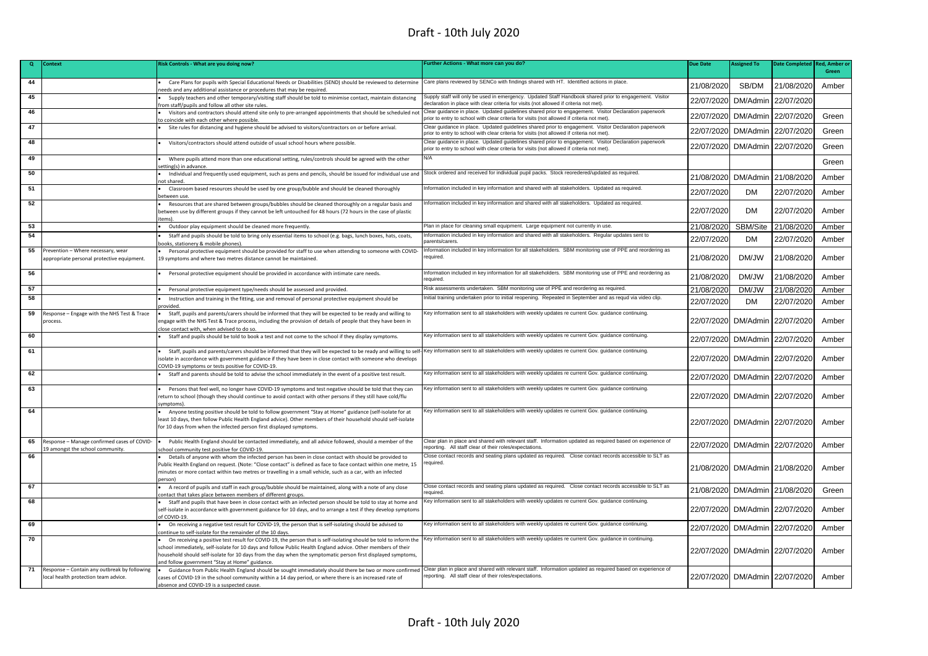| Q  | Context                                                                              | Risk Controls - What are you doing now?                                                                                                                                                                                                                                                                                                                                                           | Further Actions - What more can you do?                                                                                                                                                             | <b>Due Date</b> | <b>Assigned To</b>             | <b>Date Completed</b> | <b>Red. Amber o</b> |
|----|--------------------------------------------------------------------------------------|---------------------------------------------------------------------------------------------------------------------------------------------------------------------------------------------------------------------------------------------------------------------------------------------------------------------------------------------------------------------------------------------------|-----------------------------------------------------------------------------------------------------------------------------------------------------------------------------------------------------|-----------------|--------------------------------|-----------------------|---------------------|
|    |                                                                                      |                                                                                                                                                                                                                                                                                                                                                                                                   |                                                                                                                                                                                                     |                 |                                |                       | Green               |
| 44 |                                                                                      | Care Plans for pupils with Special Educational Needs or Disabilities (SEND) should be reviewed to determine<br>eeds and any additional assistance or procedures that may be required.                                                                                                                                                                                                             | Care plans reviewed by SENCo with findings shared with HT. Identified actions in place.                                                                                                             | 21/08/2020      | SB/DM                          | 21/08/2020            | Amber               |
| 45 |                                                                                      | Supply teachers and other temporary/visiting staff should be told to minimise contact, maintain distancing<br>om staff/pupils and follow all other site rules.                                                                                                                                                                                                                                    | Supply staff will only be used in emergency. Updated Staff Handbook shared prior to engagement. Visitor<br>declaration in place with clear criteria for visits (not allowed if criteria not met)    | 22/07/2020      | DM/Admin                       | 22/07/2020            |                     |
| 46 |                                                                                      | Visitors and contractors should attend site only to pre-arranged appointments that should be scheduled not<br>o coincide with each other where possible                                                                                                                                                                                                                                           | Clear guidance in place. Updated guidelines shared prior to engagement. Visitor Declaration paperwork<br>prior to entry to school with clear criteria for visits (not allowed if criteria not met). | 22/07/2020      | DM/Admin                       | 22/07/2020            | Green               |
| 47 |                                                                                      | Site rules for distancing and hygiene should be advised to visitors/contractors on or before arrival.                                                                                                                                                                                                                                                                                             | Clear guidance in place. Updated guidelines shared prior to engagement. Visitor Declaration paperwork<br>prior to entry to school with clear criteria for visits (not allowed if criteria not met). | 22/07/2020      | DM/Admin                       | 22/07/2020            | Green               |
| 48 |                                                                                      | Visitors/contractors should attend outside of usual school hours where possible.                                                                                                                                                                                                                                                                                                                  | Clear guidance in place. Updated guidelines shared prior to engagement. Visitor Declaration paperwork<br>prior to entry to school with clear criteria for visits (not allowed if criteria not met). | 22/07/2020      | DM/Admin                       | 22/07/2020            | Green               |
| 49 |                                                                                      | Where pupils attend more than one educational setting, rules/controls should be agreed with the other<br>etting(s) in advance                                                                                                                                                                                                                                                                     | N/A                                                                                                                                                                                                 |                 |                                |                       | Green               |
| 50 |                                                                                      | Individual and frequently used equipment, such as pens and pencils, should be issued for individual use and<br>ot shared                                                                                                                                                                                                                                                                          | Stock ordered and received for individual pupil packs. Stock reoredered/updated as required.                                                                                                        | 21/08/2020      | DM/Admin 21/08/2020            |                       | Amber               |
| 51 |                                                                                      | Classroom based resources should be used by one group/bubble and should be cleaned thoroughly<br>etween use                                                                                                                                                                                                                                                                                       | nformation included in key information and shared with all stakeholders. Updated as required.                                                                                                       | 22/07/2020      | <b>DM</b>                      | 22/07/2020            | Amber               |
| 52 |                                                                                      | Resources that are shared between groups/bubbles should be cleaned thoroughly on a regular basis and<br>between use by different groups if they cannot be left untouched for 48 hours (72 hours in the case of plastic<br>tems).                                                                                                                                                                  | Information included in key information and shared with all stakeholders. Updated as required.                                                                                                      | 22/07/2020      | <b>DM</b>                      | 22/07/2020            | Amber               |
| 53 |                                                                                      | Outdoor play equipment should be cleaned more frequently.                                                                                                                                                                                                                                                                                                                                         | Plan in place for cleaning small equipment. Large equipment not currently in use.                                                                                                                   | 21/08/2020      | SBM/Site                       | 21/08/2020            | Amber               |
| 54 |                                                                                      | Staff and pupils should be told to bring only essential items to school (e.g. bags, lunch boxes, hats, coats,<br>ooks, stationery & mobile phones).                                                                                                                                                                                                                                               | nformation included in key information and shared with all stakeholders. Regular updates sent to<br>arents/carers                                                                                   | 22/07/2020      | <b>DM</b>                      | 22/07/2020            | Amber               |
| 55 | Prevention - Where necessary, wear<br>appropriate personal protective equipment.     | Personal protective equipment should be provided for staff to use when attending to someone with COVID-<br>19 symptoms and where two metres distance cannot be maintained.                                                                                                                                                                                                                        | Information included in key information for all stakeholders. SBM monitoring use of PPE and reordering as<br>eauired.                                                                               | 21/08/2020      | DM/JW                          | 21/08/2020            | Amber               |
| 56 |                                                                                      | Personal protective equipment should be provided in accordance with intimate care needs.                                                                                                                                                                                                                                                                                                          | Information included in key information for all stakeholders. SBM monitoring use of PPE and reordering as<br>equired                                                                                | 21/08/2020      | DM/JW                          | 21/08/2020            | Amber               |
| 57 |                                                                                      | Personal protective equipment type/needs should be assessed and provided.                                                                                                                                                                                                                                                                                                                         | Risk assessments undertaken. SBM monitoring use of PPE and reordering as required.                                                                                                                  | 21/08/2020      | DM/JW                          | 21/08/2020            | Amber               |
| 58 |                                                                                      | Instruction and training in the fitting, use and removal of personal protective equipment should be<br>rovided                                                                                                                                                                                                                                                                                    | nitial training undertaken prior to initial reopening. Repeated in September and as requd via video clip.                                                                                           | 22/07/2020      | <b>DM</b>                      | 22/07/2020            | Amber               |
| 59 | Response - Engage with the NHS Test & Trace<br>process.                              | Staff, pupils and parents/carers should be informed that they will be expected to be ready and willing to<br>ngage with the NHS Test & Trace process, including the provision of details of people that they have been in<br>lose contact with, when advised to do so.                                                                                                                            | Key information sent to all stakeholders with weekly updates re current Gov. guidance continuing.                                                                                                   | 22/07/2020      | DM/Admin 22/07/2020            |                       | Amber               |
| 60 |                                                                                      | Staff and pupils should be told to book a test and not come to the school if they display symptoms.                                                                                                                                                                                                                                                                                               | Key information sent to all stakeholders with weekly updates re current Gov. guidance continuing.                                                                                                   | 22/07/2020      | DM/Admin 22/07/2020            |                       | Amber               |
| 61 |                                                                                      | Staff, pupils and parents/carers should be informed that they will be expected to be ready and willing to self-IKey information sent to all stakeholders with weekly updates re current Gov. guidance continuing.<br>solate in accordance with government guidance if they have been in close contact with someone who develops<br>:OVID-19 symptoms or tests positive for COVID-19.              |                                                                                                                                                                                                     | 22/07/2020      | DM/Admin 22/07/2020            |                       | Amber               |
| 62 |                                                                                      | Staff and parents should be told to advise the school immediately in the event of a positive test result.                                                                                                                                                                                                                                                                                         | Key information sent to all stakeholders with weekly updates re current Gov. guidance continuing.                                                                                                   | 22/07/2020      | DM/Admin 22/07/2020            |                       | Amber               |
| 63 |                                                                                      | Persons that feel well, no longer have COVID-19 symptoms and test negative should be told that they can<br>return to school (though they should continue to avoid contact with other persons if they still have cold/flu<br>vmntoms <sup>'</sup>                                                                                                                                                  | Key information sent to all stakeholders with weekly updates re current Gov. guidance continuing.                                                                                                   |                 | 22/07/2020 DM/Admin 22/07/2020 |                       | Amber               |
| 64 |                                                                                      | Anyone testing positive should be told to follow government "Stay at Home" guidance (self-isolate for at<br>east 10 days, then follow Public Health England advice). Other members of their household should self-isolate<br>for 10 days from when the infected person first displayed symptoms.                                                                                                  | Key information sent to all stakeholders with weekly updates re current Gov. guidance continuing.                                                                                                   |                 | 22/07/2020 DM/Admin 22/07/2020 |                       | Amber               |
| 65 | Response - Manage confirmed cases of COVID-<br>19 amongst the school community.      | Public Health England should be contacted immediately, and all advice followed, should a member of the<br>chool community test positive for COVID-19.                                                                                                                                                                                                                                             | Clear plan in place and shared with relevant staff. Information updated as required based on experience of<br>eporting. All staff clear of their roles/expectations.                                | 22/07/2020      | DM/Admin 22/07/2020            |                       | Amber               |
| 66 |                                                                                      | Details of anyone with whom the infected person has been in close contact with should be provided to<br>Public Health England on request. (Note: "Close contact" is defined as face to face contact within one metre, 15<br>ninutes or more contact within two metres or travelling in a small vehicle, such as a car, with an infected<br>erson)                                                 | Close contact records and seating plans updated as required. Close contact records accessible to SLT as<br>required.                                                                                |                 | 21/08/2020 DM/Admin 21/08/2020 |                       | Amber               |
| 67 |                                                                                      | A record of pupils and staff in each group/bubble should be maintained, along with a note of any close<br>ontact that takes place between members of different groups.                                                                                                                                                                                                                            | Close contact records and seating plans updated as required. Close contact records accessible to SLT as<br>eauired                                                                                  | 21/08/2020      | DM/Admin 21/08/2020            |                       | Green               |
| 68 |                                                                                      | Staff and pupils that have been in close contact with an infected person should be told to stay at home and<br>self-isolate in accordance with government guidance for 10 days, and to arrange a test if they develop symptoms<br>of COVID-19                                                                                                                                                     | Key information sent to all stakeholders with weekly updates re current Gov. guidance continuing.                                                                                                   | 22/07/2020      | DM/Admin 22/07/2020            |                       | Amber               |
| 69 |                                                                                      | On receiving a negative test result for COVID-19, the person that is self-isolating should be advised to<br>ontinue to self-isolate for the remainder of the 10 days.                                                                                                                                                                                                                             | Key information sent to all stakeholders with weekly updates re current Gov. quidance continuing.                                                                                                   | 22/07/2020      | DM/Admin                       | 22/07/2020            | Amber               |
| 70 |                                                                                      | On receiving a positive test result for COVID-19, the person that is self-isolating should be told to inform the<br>school immediately, self-isolate for 10 days and follow Public Health England advice. Other members of their<br>nousehold should self-isolate for 10 days from the day when the symptomatic person first displayed symptoms,<br>nd follow government "Stay at Home" guidance. | Key information sent to all stakeholders with weekly updates re current Gov. guidance in continuing.                                                                                                |                 | 22/07/2020 DM/Admin 22/07/2020 |                       | Amber               |
| 71 | Response - Contain any outbreak by following<br>local health protection team advice. | Guidance from Public Health England should be sought immediately should there be two or more confirmed Clear plan in place and shared with relevant staff. Information updated as required based on experience of<br>cases of COVID-19 in the school community within a 14 day period, or where there is an increased rate of<br>absence and COVID-19 is a suspected cause.                       | reporting. All staff clear of their roles/expectations.                                                                                                                                             |                 | 22/07/2020 DM/Admin 22/07/2020 |                       | Amber               |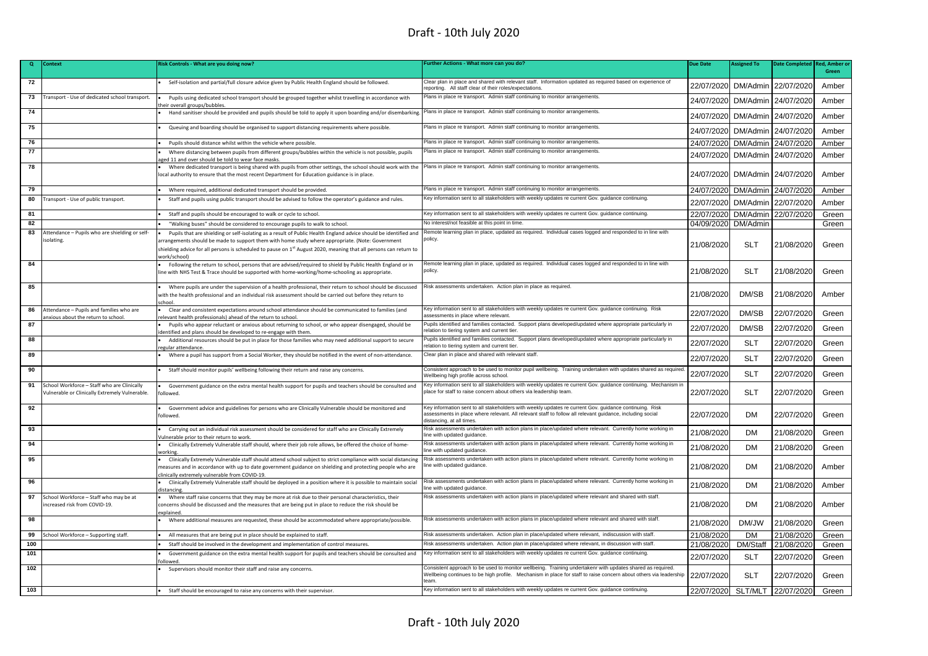| $\mathbf{Q}$ | <b>Context</b>                                 | Risk Controls - What are you doing now?                                                                                                                                                                                   | urther Actions - What more can you do?                                                                                                                                                                                                          | <b>Due Date</b> | <b>Assigned To</b> | <b>Date Completed</b> | <b>Red. Amber o</b> |
|--------------|------------------------------------------------|---------------------------------------------------------------------------------------------------------------------------------------------------------------------------------------------------------------------------|-------------------------------------------------------------------------------------------------------------------------------------------------------------------------------------------------------------------------------------------------|-----------------|--------------------|-----------------------|---------------------|
|              |                                                |                                                                                                                                                                                                                           |                                                                                                                                                                                                                                                 |                 |                    |                       | Green               |
| 72           |                                                | Self-isolation and partial/full closure advice given by Public Health England should be followed.                                                                                                                         | Clear plan in place and shared with relevant staff. Information updated as required based on experience of<br>eporting. All staff clear of their roles/expectations.                                                                            | 22/07/2020      | DM/Admin           | 22/07/2020            | Amber               |
| 73           | Fransport - Use of dedicated school transport. | Pupils using dedicated school transport should be grouped together whilst travelling in accordance with<br>heir overall groups/bubbles.                                                                                   | Plans in place re transport. Admin staff continuing to monitor arrangements.                                                                                                                                                                    | 24/07/2020      | DM/Admin           | 24/07/2020            | Amber               |
| 74           |                                                | Hand sanitiser should be provided and pupils should be told to apply it upon boarding and/or disembarking.                                                                                                                | Plans in place re transport. Admin staff continuing to monitor arrangements.                                                                                                                                                                    | 24/07/2020      | DM/Admin           | 24/07/2020            | Amber               |
| 75           |                                                | Queuing and boarding should be organised to support distancing requirements where possible.                                                                                                                               | Plans in place re transport. Admin staff continuing to monitor arrangements.                                                                                                                                                                    | 24/07/2020      | DM/Admin           | 24/07/2020            | Amber               |
| 76           |                                                | Pupils should distance whilst within the vehicle where possible.                                                                                                                                                          | Plans in place re transport. Admin staff continuing to monitor arrangements.                                                                                                                                                                    | 24/07/2020      | DM/Admin           | 24/07/2020            | Amber               |
| 77           |                                                | Where distancing between pupils from different groups/bubbles within the vehicle is not possible, pupils                                                                                                                  | Plans in place re transport. Admin staff continuing to monitor arrangements.                                                                                                                                                                    | 24/07/2020      | DM/Admin           | 24/07/2020            | Amber               |
|              |                                                | ed 11 and over should be told to wear face masks.                                                                                                                                                                         |                                                                                                                                                                                                                                                 |                 |                    |                       |                     |
| 78           |                                                | Where dedicated transport is being shared with pupils from other settings, the school should work with the<br>local authority to ensure that the most recent Department for Education guidance is in place.               | Plans in place re transport. Admin staff continuing to monitor arrangements.                                                                                                                                                                    | 24/07/2020      | DM/Admin           | 24/07/2020            | Amber               |
| 79           |                                                | Where required, additional dedicated transport should be provided.                                                                                                                                                        | Plans in place re transport. Admin staff continuing to monitor arrangements.                                                                                                                                                                    | 24/07/2020      | DM/Admin           | 24/07/2020            | Amber               |
| 80           | ransport - Use of public transport.            | Staff and pupils using public transport should be advised to follow the operator's guidance and rules.                                                                                                                    | Key information sent to all stakeholders with weekly updates re current Gov. guidance continuing.                                                                                                                                               | 22/07/2020      | DM/Admin           | 22/07/2020            | Amber               |
| 81           |                                                | Staff and pupils should be encouraged to walk or cycle to school.                                                                                                                                                         | Key information sent to all stakeholders with weekly updates re current Gov. guidance continuing.                                                                                                                                               | 22/07/2020      | DM/Admin           | 22/07/2020            | Green               |
| 82           |                                                | "Walking buses" should be considered to encourage pupils to walk to school.                                                                                                                                               | No interest/not feasible at this point in time.                                                                                                                                                                                                 | 04/09/2020      | DM/Admin           |                       | Green               |
| 83           | Attendance - Pupils who are shielding or self- | Pupils that are shielding or self-isolating as a result of Public Health England advice should be identified and                                                                                                          | Remote learning plan in place, updated as required. Individual cases logged and responded to in line with                                                                                                                                       |                 |                    |                       |                     |
|              | isolating.                                     | rrangements should be made to support them with home study where appropriate. (Note: Government                                                                                                                           | policy.                                                                                                                                                                                                                                         | 21/08/2020      | <b>SLT</b>         | 21/08/2020            | Green               |
|              |                                                | shielding advice for all persons is scheduled to pause on 1 <sup>st</sup> August 2020, meaning that all persons can return to                                                                                             |                                                                                                                                                                                                                                                 |                 |                    |                       |                     |
| 84           |                                                | work/school)<br>Following the return to school, persons that are advised/required to shield by Public Health England or in                                                                                                | emote learning plan in place, updated as required. Individual cases logged and responded to in line with                                                                                                                                        |                 |                    |                       |                     |
|              |                                                | line with NHS Test & Trace should be supported with home-working/home-schooling as appropriate.                                                                                                                           | policy.                                                                                                                                                                                                                                         | 21/08/2020      | <b>SLT</b>         | 21/08/2020            | Green               |
|              |                                                |                                                                                                                                                                                                                           |                                                                                                                                                                                                                                                 |                 |                    |                       |                     |
| 85           |                                                | Where pupils are under the supervision of a health professional, their return to school should be discussed<br>vith the health professional and an individual risk assessment should be carried out before they return to | Risk assessments undertaken. Action plan in place as required.                                                                                                                                                                                  | 21/08/2020      | DM/SB              | 21/08/2020            | Amber               |
| 86           | Attendance - Pupils and families who are       | Clear and consistent expectations around school attendance should be communicated to families (and                                                                                                                        | Key information sent to all stakeholders with weekly updates re current Gov. guidance continuing. Risk                                                                                                                                          |                 |                    |                       |                     |
|              | nxious about the return to school.             | elevant health professionals) ahead of the return to school.                                                                                                                                                              | assessments in place where relevant.<br>Pupils identified and families contacted. Support plans developed/updated where appropriate particularly in                                                                                             | 22/07/2020      | DM/SB              | 22/07/2020            | Green               |
| 87           |                                                | Pupils who appear reluctant or anxious about returning to school, or who appear disengaged, should be<br>dentified and plans should be developed to re-engage with them.                                                  | relation to tiering system and current tier.                                                                                                                                                                                                    | 22/07/2020      | DM/SB              | 22/07/2020            | Green               |
| 88           |                                                | Additional resources should be put in place for those families who may need additional support to secure<br>egular attendance                                                                                             | Pupils identified and families contacted. Support plans developed/updated where appropriate particularly in<br>elation to tiering system and current tier.                                                                                      | 22/07/2020      | <b>SLT</b>         | 22/07/2020            | Green               |
| 89           |                                                | Where a pupil has support from a Social Worker, they should be notified in the event of non-attendance.                                                                                                                   | Clear plan in place and shared with relevant staff.                                                                                                                                                                                             | 22/07/2020      | <b>SLT</b>         | 22/07/2020            | Green               |
| 90           |                                                | Staff should monitor pupils' wellbeing following their return and raise any concerns.                                                                                                                                     | Consistent approach to be used to monitor pupil wellbeing. Training undertaken with updates shared as required<br>Wellbeing high profile across school.                                                                                         | 22/07/2020      | <b>SLT</b>         | 22/07/2020            | Green               |
| 91           | School Workforce - Staff who are Clinically    | Government guidance on the extra mental health support for pupils and teachers should be consulted and                                                                                                                    | Key information sent to all stakeholders with weekly updates re current Gov. guidance continuing. Mechanism ir                                                                                                                                  |                 |                    |                       |                     |
|              | Vulnerable or Clinically Extremely Vulnerable. | ollowed.                                                                                                                                                                                                                  | place for staff to raise concern about others via leadership team.                                                                                                                                                                              | 22/07/2020      | <b>SLT</b>         | 22/07/2020            | Green               |
| 92           |                                                | Government advice and guidelines for persons who are Clinically Vulnerable should be monitored and<br>followed.                                                                                                           | Key information sent to all stakeholders with weekly updates re current Gov. guidance continuing. Risk<br>assessments in place where relevant. All relevant staff to follow all relevant guidance, including social<br>distancing, at all times | 22/07/2020      | <b>DM</b>          | 22/07/2020            | Green               |
| 93           |                                                | Carrying out an individual risk assessment should be considered for staff who are Clinically Extremely<br>/ulnerable prior to their return to work.                                                                       | Risk assessments undertaken with action plans in place/updated where relevant. Currently home working in<br>ine with updated guidance                                                                                                           | 21/08/2020      | <b>DM</b>          | 21/08/2020            | Green               |
| 94           |                                                | Clinically Extremely Vulnerable staff should, where their job role allows, be offered the choice of home-<br>working                                                                                                      | Risk assessments undertaken with action plans in place/updated where relevant. Currently home working in<br>ine with updated guidance.                                                                                                          | 21/08/2020      | <b>DM</b>          | 21/08/2020            | Green               |
| 95           |                                                | Clinically Extremely Vulnerable staff should attend school subject to strict compliance with social distancing                                                                                                            | Risk assessments undertaken with action plans in place/updated where relevant. Currently home working in                                                                                                                                        |                 |                    |                       |                     |
|              |                                                | neasures and in accordance with up to date government guidance on shielding and protecting people who are                                                                                                                 | ine with updated quidance.                                                                                                                                                                                                                      | 21/08/2020      | <b>DM</b>          | 21/08/2020            | Amber               |
| 96           |                                                | linically extremely vulnerable from COVID-19.<br>Clinically Extremely Vulnerable staff should be deployed in a position where it is possible to maintain social                                                           | Risk assessments undertaken with action plans in place/updated where relevant. Currently home working in                                                                                                                                        |                 |                    |                       |                     |
|              |                                                | listancine                                                                                                                                                                                                                | ine with updated guidance.                                                                                                                                                                                                                      | 21/08/2020      | <b>DM</b>          | 21/08/2020            | Amber               |
| 97           | School Workforce - Staff who may be at         | Where staff raise concerns that they may be more at risk due to their personal characteristics, their                                                                                                                     | Risk assessments undertaken with action plans in place/updated where relevant and shared with staff.                                                                                                                                            |                 |                    |                       |                     |
|              | ncreased risk from COVID-19.                   | concerns should be discussed and the measures that are being put in place to reduce the risk should be<br>explained                                                                                                       |                                                                                                                                                                                                                                                 | 21/08/2020      | <b>DM</b>          | 21/08/2020            | Amber               |
| 98           |                                                | Where additional measures are requested, these should be accommodated where appropriate/possible.                                                                                                                         | Risk assessments undertaken with action plans in place/updated where relevant and shared with staff.                                                                                                                                            | 21/08/2020      | DM/JW              | 21/08/2020            | Green               |
| 99           | School Workforce - Supporting staff.           | All measures that are being put in place should be explained to staff.                                                                                                                                                    | Risk assessments undertaken. Action plan in place/updated where relevant, indiscussion with staff.                                                                                                                                              | 21/08/2020      | <b>DM</b>          | 21/08/2020            | Green               |
| 100          |                                                | Staff should be involved in the development and implementation of control measures.                                                                                                                                       | Risk assessments undertaken. Action plan in place/updated where relevant, in discussion with staff.                                                                                                                                             | 21/08/2020      | DM/Staff           | 21/08/2020            | Green               |
| 101          |                                                | Government guidance on the extra mental health support for pupils and teachers should be consulted and                                                                                                                    | Key information sent to all stakeholders with weekly updates re current Gov. guidance continuing.                                                                                                                                               | 22/07/2020      | <b>SLT</b>         | 22/07/2020            | Green               |
| 102          |                                                | <b>Illower</b><br>Supervisors should monitor their staff and raise any concerns.                                                                                                                                          | Consistent approach to be used to monitor wellbeing. Training undertakenr with updates shared as required.<br>Wellbeing continues to be high profile. Mechanism in place for staff to raise concern about others via leadership                 | 22/07/2020      | <b>SLT</b>         | 22/07/2020            | Green               |
|              |                                                |                                                                                                                                                                                                                           | eam                                                                                                                                                                                                                                             |                 |                    |                       |                     |
| 103          |                                                | Staff should be encouraged to raise any concerns with their supervisor.                                                                                                                                                   | Key information sent to all stakeholders with weekly updates re current Gov. guidance continuing.                                                                                                                                               | 22/07/2020      | SLT/MLT            | 22/07/2020            | Green               |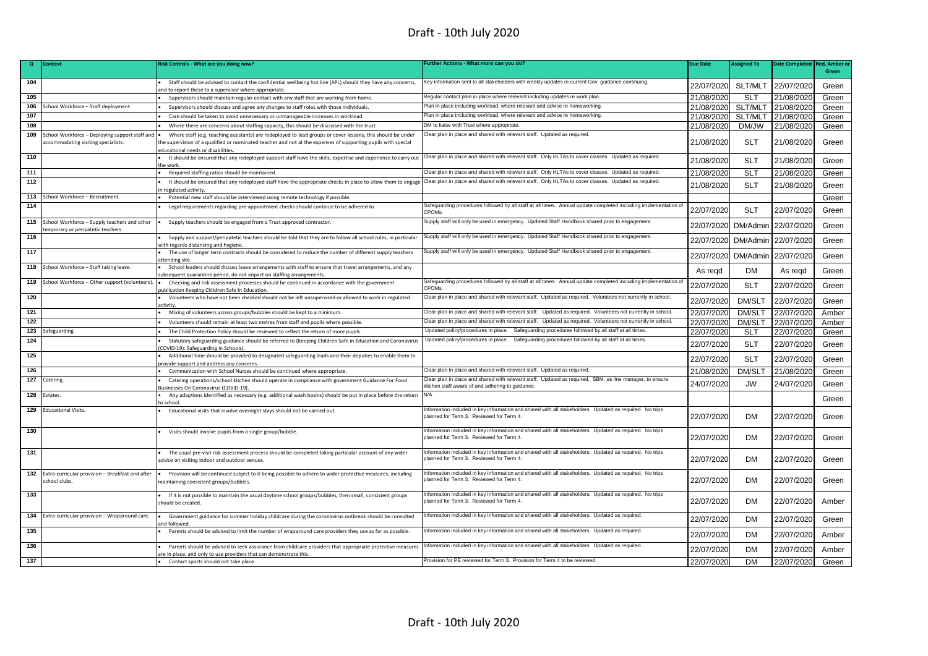| $\mathbf{Q}$     | Context                                          | Risk Controls - What are you doing now?                                                                                                                              | Further Actions - What more can you do?                                                                                                             | <b>Due Date</b> | <b>Assigned To</b> | <b>Date Completed</b> | <b>Red, Amber o</b> |
|------------------|--------------------------------------------------|----------------------------------------------------------------------------------------------------------------------------------------------------------------------|-----------------------------------------------------------------------------------------------------------------------------------------------------|-----------------|--------------------|-----------------------|---------------------|
|                  |                                                  |                                                                                                                                                                      |                                                                                                                                                     |                 |                    |                       | Green               |
| 104              |                                                  | Staff should be advised to contact the confidential wellbeing hot line (APL) should they have any concerns,                                                          | Key information sent to all stakeholders with weekly updates re current Gov. guidance continuing.                                                   | 22/07/2020      | SLT/MLT            | 22/07/2020            |                     |
|                  |                                                  | nd to report these to a supervisor where appropriate.                                                                                                                |                                                                                                                                                     |                 |                    |                       | Green               |
| 105              |                                                  | Supervisors should maintain regular contact with any staff that are working from home.                                                                               | Regular contact plan in place where relevant including updates re work plan.                                                                        | 21/08/2020      | <b>SLT</b>         | 21/08/2020            | Green               |
| 106              | School Workforce - Staff deployment.             | Supervisors should discuss and agree any changes to staff roles with those individuals.                                                                              | Plan in place including workload, where relevant and advice re homeworking.                                                                         | 21/08/2020      | SLT/MLT            | 21/08/2020            | Green               |
| 107              |                                                  | Care should be taken to avoid unnecessary or unmanageable increases in workload.                                                                                     | Plan in place including workload, where relevant and advice re homeworking.                                                                         | 21/08/2020      | SLT/MLT            | 21/08/2020            | Green               |
| 108              |                                                  | Where there are concerns about staffing capacity, this should be discussed with the trust.                                                                           | DM to liaise with Trust where appropriate.                                                                                                          | 21/08/2020      | DM/JW              | 21/08/2020            | Green               |
| 109              | School Workforce - Deploying support staff and   | Where staff (e.g. teaching assistants) are redeployed to lead groups or cover lessons, this should be under                                                          | Clear plan in place and shared with relevant staff. Updated as required.                                                                            |                 |                    |                       |                     |
|                  | ccommodating visiting specialists.               | the supervision of a qualified or nominated teacher and not at the expenses of supporting pupils with special                                                        |                                                                                                                                                     | 21/08/2020      | <b>SLT</b>         | 21/08/2020            | Green               |
| 110              |                                                  | educational needs or disabilities                                                                                                                                    | Clear plan in place and shared with relevant staff. Only HLTAs to cover classes. Updated as required.                                               |                 |                    |                       |                     |
|                  |                                                  | It should be ensured that any redeployed support staff have the skills, expertise and experience to carry out<br>the work                                            |                                                                                                                                                     | 21/08/2020      | <b>SLT</b>         | 21/08/2020            | Green               |
| 111              |                                                  | Required staffing ratios should be maintained.                                                                                                                       | Clear plan in place and shared with relevant staff. Only HLTAs to cover classes. Updated as required.                                               | 21/08/2020      | <b>SLT</b>         | 21/08/2020            | Green               |
| $\overline{112}$ |                                                  | It should be ensured that any redeployed staff have the appropriate checks in place to allow them to engage                                                          | Clear plan in place and shared with relevant staff. Only HLTAs to cover classes. Updated as required.                                               | 21/08/2020      | <b>SLT</b>         | 21/08/2020            | Green               |
|                  |                                                  | in regulated activity                                                                                                                                                |                                                                                                                                                     |                 |                    |                       |                     |
| 113              | School Workforce - Recruitment.                  | Potential new staff should be interviewed using remote technology if possible                                                                                        |                                                                                                                                                     |                 |                    |                       | Green               |
| 114              |                                                  | Legal requirements regarding pre-appointment checks should continue to be adhered to.                                                                                | Safeguarding procedures followed by all staff at all times. Annual update completed including implementation o<br>CPOMs.                            | 22/07/2020      | <b>SLT</b>         | 22/07/2020            | Green               |
| 115              | School Workforce - Supply teachers and other     | Supply teachers should be engaged from a Trust approved contractor.                                                                                                  | Supply staff will only be used in emergency. Updated Staff Handbook shared prior to engagement.                                                     | 22/07/2020      | DM/Admin           | 22/07/2020            | Green               |
|                  | emporary or peripatetic teachers.                |                                                                                                                                                                      |                                                                                                                                                     |                 |                    |                       |                     |
| 116              |                                                  | Supply and support/peripatetic teachers should be told that they are to follow all school rules, in particular<br>with regards distancing and hygiene                | Supply staff will only be used in emergency. Updated Staff Handbook shared prior to engagement.                                                     | 22/07/2020      | DM/Admin           | 22/07/2020            | Green               |
| 117              |                                                  | The use of longer term contracts should be considered to reduce the number of different supply teachers<br>attending site                                            | Supply staff will only be used in emergency. Updated Staff Handbook shared prior to engagement.                                                     | 22/07/2020      | DM/Admin           | 22/07/2020            | Green               |
| 118              | School Workforce - Staff taking leave.           | School leaders should discuss leave arrangements with staff to ensure that travel arrangements, and any                                                              |                                                                                                                                                     | As regd         | DM.                | As regd               | Green               |
| 119              | School Workforce - Other support (volunteers).   | ubsequent quarantine period, do not impact on staffing arrangements.<br>Checking and risk assessment processes should be continued in accordance with the government | Safeguarding procedures followed by all staff at all times. Annual update completed including implementation of                                     |                 |                    |                       |                     |
|                  |                                                  | publication Keeping Children Safe In Education.                                                                                                                      | CPOMs.                                                                                                                                              | 22/07/2020      | <b>SLT</b>         | 22/07/2020            | Green               |
| 120              |                                                  | Volunteers who have not been checked should not be left unsupervised or allowed to work in regulated<br>activity                                                     | Clear plan in place and shared with relevant staff. Updated as required. Volunteers not currently in school.                                        | 22/07/2020      | DM/SLT             | 22/07/2020            | Green               |
| 121              |                                                  | Mixing of volunteers across groups/bubbles should be kept to a minimum.                                                                                              | Clear plan in place and shared with relevant staff. Updated as required. Volunteers not currently in school.                                        | 22/07/2020      | <b>DM/SLT</b>      | 22/07/2020            | Amber               |
| 122              |                                                  | Volunteers should remain at least two metres from staff and pupils where possible.                                                                                   | Clear plan in place and shared with relevant staff. Updated as required. Volunteers not currently in school.                                        | 22/07/2020      | DM/SLT             | 22/07/2020            | Amber               |
| 123              | Safeguarding.                                    | The Child Protection Policy should be reviewed to reflect the return of more pupils                                                                                  | Updated policy/procedures in place. Safeguarding procedures followed by all staff at all times.                                                     | 22/07/2020      | <b>SLT</b>         | 22/07/2020            | Green               |
| 124              |                                                  | Statutory safeguarding guidance should be referred to (Keeping Children Safe in Education and Coronavirus                                                            | Updated policy/procedures in place. Safeguarding procedures followed by all staff at all times.                                                     |                 |                    |                       |                     |
|                  |                                                  | COVID-19): Safeguarding in Schools).                                                                                                                                 |                                                                                                                                                     | 22/07/2020      | <b>SLT</b>         | 22/07/2020            | Green               |
| 125              |                                                  | Additional time should be provided to designated safeguarding leads and their deputies to enable them to<br>rovide support and address any concerns.                 |                                                                                                                                                     | 22/07/2020      | <b>SLT</b>         | 22/07/2020            | Green               |
| 126              |                                                  | Communication with School Nurses should be continued where appropriate.                                                                                              | Clear plan in place and shared with relevant staff. Updated as required                                                                             | 21/08/2020      | DM/SLT             | 21/08/2020            | Green               |
| 127              | Catering.                                        | Catering operations/school kitchen should operate in compliance with government Guidance For Food                                                                    | Clear plan in place and shared with relevant staff. Updated as required. SBM, as line manager, to ensure                                            |                 |                    |                       |                     |
|                  |                                                  | usinesses On Coronavirus (COVID-19).                                                                                                                                 | kitchen staff aware of and adhering to guidance.                                                                                                    | 24/07/2020      | JW                 | 24/07/2020            | Green               |
| 128              | Estates.                                         | Any adaptions identified as necessary (e.g. additional wash basins) should be put in place before the return<br>o school                                             | N/A                                                                                                                                                 |                 |                    |                       | Green               |
| 129              | <b>Educational Visits.</b>                       | Educational visits that involve overnight stays should not be carried out.                                                                                           | Information included in key information and shared with all stakeholders. Updated as required. No trips                                             |                 |                    |                       |                     |
|                  |                                                  |                                                                                                                                                                      | planned for Term 3. Reviewed for Term 4.                                                                                                            | 22/07/2020      | <b>DM</b>          | 22/07/2020            | Green               |
| 130              |                                                  | Visits should involve pupils from a single group/bubble.                                                                                                             | Information included in key information and shared with all stakeholders. Updated as required. No trips                                             |                 |                    |                       |                     |
|                  |                                                  |                                                                                                                                                                      | planned for Term 3. Reviewed for Term 4.                                                                                                            | 22/07/2020      | DM                 | 22/07/2020            | Green               |
| 131              |                                                  | The usual pre-visit risk assessment process should be completed taking particular account of any wider                                                               | Information included in key information and shared with all stakeholders. Updated as required. No trips                                             |                 |                    |                       |                     |
|                  |                                                  | advice on visiting indoor and outdoor venues.                                                                                                                        | planned for Term 3. Reviewed for Term 4.                                                                                                            | 22/07/2020      | DM.                | 22/07/2020            | Green               |
| 132              | Extra-curricular provision - Breakfast and after | Provision will be continued subject to it being possible to adhere to wider protective measures, including                                                           | nformation included in key information and shared with all stakeholders. Updated as required. No trips                                              |                 |                    |                       |                     |
|                  | school clubs.                                    | maintaining consistent groups/bubbles.                                                                                                                               | planned for Term 3. Reviewed for Term 4.                                                                                                            | 22/07/2020      | DM                 | 22/07/2020            | Green               |
|                  |                                                  |                                                                                                                                                                      |                                                                                                                                                     |                 |                    |                       |                     |
| 133              |                                                  | If it is not possible to maintain the usual daytime school groups/bubbles, then small, consistent groups<br>should be created.                                       | Information included in key information and shared with all stakeholders. Updated as required. No trips<br>planned for Term 3. Reviewed for Term 4. | 22/07/2020      | DM.                | 22/07/2020            | Amber               |
| 134              | Extra-curricular provision - Wraparound care.    |                                                                                                                                                                      | Information included in key information and shared with all stakeholders. Updated as required.                                                      |                 |                    |                       |                     |
|                  |                                                  | Government guidance for summer holiday childcare during the coronavirus outbreak should be consulted<br>and followed                                                 |                                                                                                                                                     | 22/07/2020      | DM                 | 22/07/2020            | Green               |
| 135              |                                                  | Parents should be advised to limit the number of wraparound care providers they use as far as possible.                                                              | nformation included in key information and shared with all stakeholders. Updated as required.                                                       | 22/07/2020      | <b>DM</b>          | 22/07/2020            | Amber               |
| 136              |                                                  | Parents should be advised to seek assurance from childcare providers that appropriate protective measures                                                            | Information included in key information and shared with all stakeholders. Updated as required                                                       | 22/07/2020      | <b>DM</b>          | 22/07/2020            | Amber               |
|                  |                                                  | are in place, and only to use providers that can demonstrate this.                                                                                                   | Provision for PE reviewed for Term 3. Provision for Term 4 to be reviewed.                                                                          |                 |                    |                       |                     |
| 137              |                                                  | Contact sports should not take place.                                                                                                                                |                                                                                                                                                     | 22/07/2020      | DM                 | 22/07/2020            | Green               |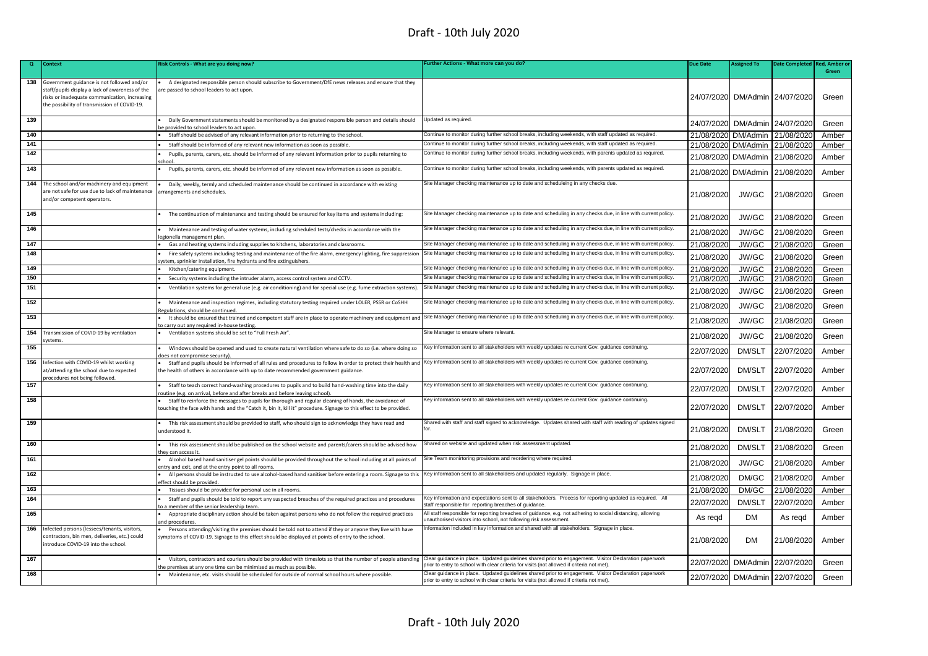| $\mathbf{Q}$ | <b>Context</b>                                                                                                                                                                                 | Risk Controls - What are you doing now?                                                                                                                                                                                                                                                                 | urther Actions - What more can you do?                                                                                                                                                              | <b>Due Date</b>     | Assigned To                    | <b>Date Completed</b> | <b>Red. Amber o</b> |
|--------------|------------------------------------------------------------------------------------------------------------------------------------------------------------------------------------------------|---------------------------------------------------------------------------------------------------------------------------------------------------------------------------------------------------------------------------------------------------------------------------------------------------------|-----------------------------------------------------------------------------------------------------------------------------------------------------------------------------------------------------|---------------------|--------------------------------|-----------------------|---------------------|
|              |                                                                                                                                                                                                |                                                                                                                                                                                                                                                                                                         |                                                                                                                                                                                                     |                     |                                |                       | Green               |
| 138          | Government guidance is not followed and/or<br>staff/pupils display a lack of awareness of the<br>risks or inadequate communication, increasing<br>the possibility of transmission of COVID-19. | A designated responsible person should subscribe to Government/DfE news releases and ensure that they<br>re passed to school leaders to act upon.                                                                                                                                                       |                                                                                                                                                                                                     |                     | 24/07/2020 DM/Admin 24/07/2020 |                       | Green               |
| 139          |                                                                                                                                                                                                | Daily Government statements should be monitored by a designated responsible person and details should<br>e provided to school leaders to act upon                                                                                                                                                       | Updated as required.                                                                                                                                                                                |                     | 24/07/2020 DM/Admin 24/07/2020 |                       | Green               |
| 140          |                                                                                                                                                                                                | Staff should be advised of any relevant information prior to returning to the school.                                                                                                                                                                                                                   | Continue to monitor during further school breaks, including weekends, with staff updated as required.                                                                                               | 21/08/2020          | DM/Admin                       | 21/08/2020            | Amber               |
| 141          |                                                                                                                                                                                                | Staff should be informed of any relevant new information as soon as possible                                                                                                                                                                                                                            | Continue to monitor during further school breaks, including weekends, with staff updated as required.                                                                                               | 21/08/2020 DM/Admin |                                | 21/08/2020            | Amber               |
| 142          |                                                                                                                                                                                                | Pupils, parents, carers, etc. should be informed of any relevant information prior to pupils returning to<br>chool                                                                                                                                                                                      | Continue to monitor during further school breaks, including weekends, with parents updated as required.                                                                                             | 21/08/2020          | DM/Admin                       | 21/08/2020            | Amber               |
| 143          |                                                                                                                                                                                                | Pupils, parents, carers, etc. should be informed of any relevant new information as soon as possible.                                                                                                                                                                                                   | Continue to monitor during further school breaks, including weekends, with parents updated as required.                                                                                             | 21/08/2020          | DM/Admin                       | 21/08/2020            | Amber               |
| 144          | The school and/or machinery and equipment<br>are not safe for use due to lack of maintenance<br>and/or competent operators.                                                                    | Daily, weekly, termly and scheduled maintenance should be continued in accordance with existing<br>arrangements and schedules.                                                                                                                                                                          | Site Manager checking maintenance up to date and scheduleing in any checks due.                                                                                                                     | 21/08/2020          | JW/GC                          | 21/08/2020            | Green               |
| 145          |                                                                                                                                                                                                | The continuation of maintenance and testing should be ensured for key items and systems including:                                                                                                                                                                                                      | Site Manager checking maintenance up to date and scheduling in any checks due, in line with current policy                                                                                          | 21/08/2020          | JW/GC                          | 21/08/2020            | Green               |
| 146          |                                                                                                                                                                                                | Maintenance and testing of water systems, including scheduled tests/checks in accordance with the<br>gionella management plan.                                                                                                                                                                          | Site Manager checking maintenance up to date and scheduling in any checks due, in line with current policy.                                                                                         | 21/08/2020          | JW/GC                          | 21/08/2020            | Green               |
| 147          |                                                                                                                                                                                                | Gas and heating systems including supplies to kitchens, laboratories and classrooms.                                                                                                                                                                                                                    | Site Manager checking maintenance up to date and scheduling in any checks due, in line with current policy.                                                                                         | 21/08/2020          | JW/GC                          | 21/08/2020            | Green               |
| 148          |                                                                                                                                                                                                | Fire safety systems including testing and maintenance of the fire alarm, emergency lighting, fire suppression<br>stem, sprinkler installation, fire hydrants and fire extinguishers.                                                                                                                    | Site Manager checking maintenance up to date and scheduling in any checks due, in line with current policy.                                                                                         | 21/08/2020          | JW/GC                          | 21/08/2020            | Green               |
| 149          |                                                                                                                                                                                                | Kitchen/catering equipment.                                                                                                                                                                                                                                                                             | Site Manager checking maintenance up to date and scheduling in any checks due, in line with current policy.                                                                                         | 21/08/2020          | JW/GC                          | 21/08/2020            | Green               |
| 150          |                                                                                                                                                                                                | Security systems including the intruder alarm, access control system and CCTV.                                                                                                                                                                                                                          | Site Manager checking maintenance up to date and scheduling in any checks due, in line with current policy.                                                                                         | 21/08/2020          | JW/GC                          | 21/08/2020            | Green               |
| 151          |                                                                                                                                                                                                | Ventilation systems for general use (e.g. air conditioning) and for special use (e.g. fume extraction systems)                                                                                                                                                                                          | Site Manager checking maintenance up to date and scheduling in any checks due, in line with current policy.                                                                                         | 21/08/2020          | JW/GC                          | 21/08/2020            | Green               |
| 152          |                                                                                                                                                                                                | Maintenance and inspection regimes, including statutory testing required under LOLER, PSSR or CoSHH<br>Regulations, should be continued                                                                                                                                                                 | Site Manager checking maintenance up to date and scheduling in any checks due, in line with current policy.                                                                                         | 21/08/2020          | JW/GC                          | 21/08/2020            | Green               |
| 153          |                                                                                                                                                                                                | It should be ensured that trained and competent staff are in place to operate machinery and equipment and<br>o carry out any required in-house testing.                                                                                                                                                 | Site Manager checking maintenance up to date and scheduling in any checks due, in line with current policy.                                                                                         | 21/08/2020          | JW/GC                          | 21/08/2020            | Green               |
| 154          | Transmission of COVID-19 by ventilation<br>vstems                                                                                                                                              | Ventilation systems should be set to "Full Fresh Air".                                                                                                                                                                                                                                                  | Site Manager to ensure where relevant.                                                                                                                                                              | 21/08/2020          | JW/GC                          | 21/08/2020            | Green               |
| 155          |                                                                                                                                                                                                | Windows should be opened and used to create natural ventilation where safe to do so (i.e. where doing so<br>oes not compromise security).                                                                                                                                                               | Key information sent to all stakeholders with weekly updates re current Gov. guidance continuing.                                                                                                   | 22/07/2020          | DM/SLT                         | 22/07/2020            | Amber               |
|              | 156 Infection with COVID-19 whilst working<br>t/attending the school due to expected<br>rocedures not being followed                                                                           | Staff and pupils should be informed of all rules and procedures to follow in order to protect their health and Key information sent to all stakeholders with weekly updates re current Gov. guidance continuing.<br>the health of others in accordance with up to date recommended government guidance. |                                                                                                                                                                                                     | 22/07/2020          | DM/SLT                         | 22/07/2020            | Amber               |
| 157          |                                                                                                                                                                                                | Staff to teach correct hand-washing procedures to pupils and to build hand-washing time into the daily<br>outine (e.g. on arrival, before and after breaks and before leaving school).                                                                                                                  | Key information sent to all stakeholders with weekly updates re current Gov. guidance continuing.                                                                                                   | 22/07/2020          | <b>DM/SLT</b>                  | 22/07/2020            | Amber               |
| 158          |                                                                                                                                                                                                | Staff to reinforce the messages to pupils for thorough and regular cleaning of hands, the avoidance of<br>touching the face with hands and the "Catch it, bin it, kill it" procedure. Signage to this effect to be provided.                                                                            | Key information sent to all stakeholders with weekly updates re current Gov. guidance continuing.                                                                                                   | 22/07/2020          | DM/SLT                         | 22/07/2020            | Amber               |
| 159          |                                                                                                                                                                                                | This risk assessment should be provided to staff, who should sign to acknowledge they have read and<br>inderstood it.                                                                                                                                                                                   | Shared with staff and staff signed to acknowledge. Updates shared with staff with reading of updates signed                                                                                         | 21/08/2020          | DM/SLT                         | 21/08/2020            | Green               |
| 160          |                                                                                                                                                                                                | This risk assessment should be published on the school website and parents/carers should be advised how<br>hev can access it                                                                                                                                                                            | Shared on website and updated when risk assessment updated.                                                                                                                                         | 21/08/2020          | DM/SLT                         | 21/08/2020            | Green               |
| 161          |                                                                                                                                                                                                | Alcohol based hand sanitiser gel points should be provided throughout the school including at all points of<br>ntry and exit, and at the entry point to all rooms.                                                                                                                                      | Site Team monirtoring provisions and reordering where required.                                                                                                                                     | 21/08/2020          | JW/GC                          | 21/08/2020            | Amber               |
| 162          |                                                                                                                                                                                                | All persons should be instructed to use alcohol-based hand sanitiser before entering a room. Signage to this<br>ffect should be provided                                                                                                                                                                | Key information sent to all stakeholders and updated regularly. Signage in place                                                                                                                    | 21/08/2020          | DM/GC                          | 21/08/2020            | Amber               |
| 163          |                                                                                                                                                                                                | Tissues should be provided for personal use in all rooms.                                                                                                                                                                                                                                               |                                                                                                                                                                                                     | 21/08/2020          | DM/GC                          | 21/08/2020            | Amber               |
| 164          |                                                                                                                                                                                                | Staff and pupils should be told to report any suspected breaches of the required practices and procedures<br>a member of the senior leadership team                                                                                                                                                     | Key information and expectations sent to all stakeholders. Process for reporting updated as required. All<br>staff responsible for reporting breaches of guidance.                                  | 22/07/2020          | DM/SLT                         | 22/07/2020            | Amber               |
| 165          |                                                                                                                                                                                                | Appropriate disciplinary action should be taken against persons who do not follow the required practices<br>nd procedures                                                                                                                                                                               | All staff responsible for reporting breaches of guidance, e.g. not adhering to social distancing, allowing<br>unauthorised visitors into school, not following risk assessment.                     | As regd             | <b>DM</b>                      | As regd               | Amber               |
| 166          | Infected persons (lessees/tenants, visitors,<br>contractors, bin men, deliveries, etc.) could<br>introduce COVID-19 into the school.                                                           | Persons attending/visiting the premises should be told not to attend if they or anyone they live with have<br>ymptoms of COVID-19. Signage to this effect should be displayed at points of entry to the school.                                                                                         | nformation included in key information and shared with all stakeholders. Signage in place.                                                                                                          | 21/08/2020          | DM                             | 21/08/2020            | Amber               |
| 167          |                                                                                                                                                                                                | Visitors, contractors and couriers should be provided with timeslots so that the number of people attending<br>he premises at any one time can be minimised as much as possible.                                                                                                                        | Clear guidance in place. Updated guidelines shared prior to engagement. Visitor Declaration paperwork<br>prior to entry to school with clear criteria for visits (not allowed if criteria not met). | 22/07/2020          | DM/Admin                       | 22/07/2020            | Green               |
| 168          |                                                                                                                                                                                                | Maintenance, etc. visits should be scheduled for outside of normal school hours where possible.                                                                                                                                                                                                         | Clear quidance in place. Updated quidelines shared prior to engagement. Visitor Declaration paperwork<br>prior to entry to school with clear criteria for visits (not allowed if criteria not met). | 22/07/2020          | DM/Admin 22/07/2020            |                       | Green               |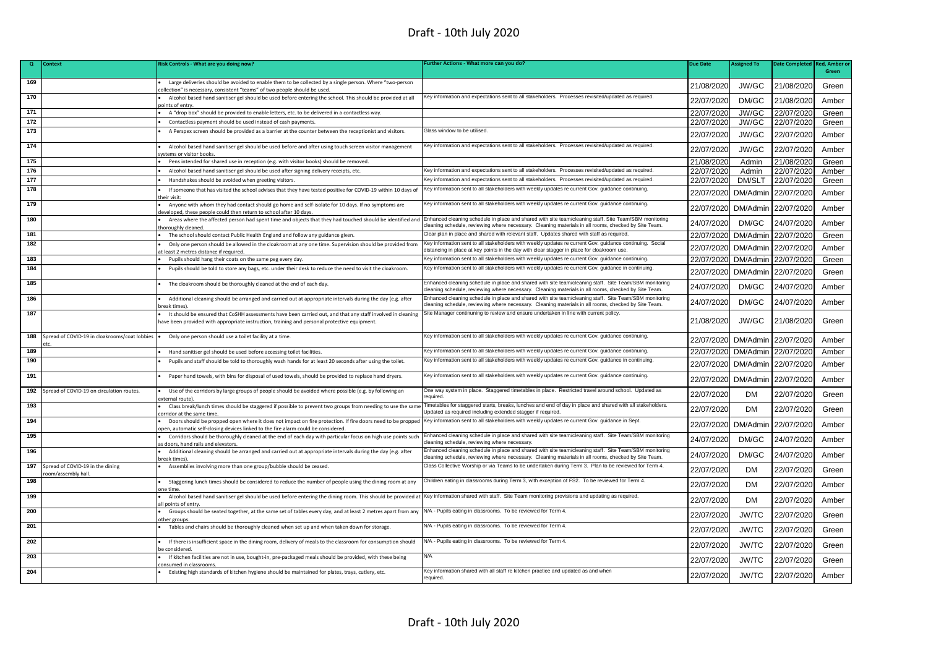| $\mathbf{Q}$ | Context                                               | Risk Controls - What are you doing now?                                                                                                                                                                                                | Further Actions - What more can you do?                                                                                                                                                                        | <b>Due Date</b> | <b>Assigned To</b> | <b>Date Completed</b> | <b>Red. Amber</b> |
|--------------|-------------------------------------------------------|----------------------------------------------------------------------------------------------------------------------------------------------------------------------------------------------------------------------------------------|----------------------------------------------------------------------------------------------------------------------------------------------------------------------------------------------------------------|-----------------|--------------------|-----------------------|-------------------|
|              |                                                       |                                                                                                                                                                                                                                        |                                                                                                                                                                                                                |                 |                    |                       | Green             |
| 169          |                                                       | Large deliveries should be avoided to enable them to be collected by a single person. Where "two-person<br>ollection" is necessary, consistent "teams" of two people should be used.                                                   |                                                                                                                                                                                                                | 21/08/2020      | JW/GC              | 21/08/2020            | Green             |
| 170          |                                                       | Alcohol based hand sanitiser gel should be used before entering the school. This should be provided at all<br>points of entry.                                                                                                         | Key information and expectations sent to all stakeholders. Processes revisited/updated as required.                                                                                                            | 22/07/2020      | DM/GC              | 21/08/2020            | Amber             |
| 171          |                                                       | A "drop box" should be provided to enable letters, etc. to be delivered in a contactless way.                                                                                                                                          |                                                                                                                                                                                                                | 22/07/2020      | JW/GC              | 22/07/2020            | Green             |
| 172          |                                                       | Contactless payment should be used instead of cash payments.                                                                                                                                                                           |                                                                                                                                                                                                                | 22/07/2020      | JW/GC              | 22/07/2020            | Green             |
| 173          |                                                       | A Perspex screen should be provided as a barrier at the counter between the receptionist and visitors.                                                                                                                                 | Glass window to be utilised                                                                                                                                                                                    | 22/07/2020      | JW/GC              | 22/07/2020            | Amber             |
| 174          |                                                       | Alcohol based hand sanitiser gel should be used before and after using touch screen visitor management<br>vstems or visitor books                                                                                                      | Key information and expectations sent to all stakeholders. Processes revisited/updated as required.                                                                                                            | 22/07/2020      | JW/GC              | 22/07/2020            | Amber             |
| 175          |                                                       | Pens intended for shared use in reception (e.g. with visitor books) should be removed.                                                                                                                                                 |                                                                                                                                                                                                                | 21/08/2020      | Admin              | 21/08/2020            | Green             |
| 176          |                                                       | Alcohol based hand sanitiser gel should be used after signing delivery receipts, etc.                                                                                                                                                  | Key information and expectations sent to all stakeholders. Processes revisited/updated as required.                                                                                                            | 22/07/2020      | Admin              | 22/07/2020            | Amber             |
| 177          |                                                       | Handshakes should be avoided when greeting visitors                                                                                                                                                                                    | Key information and expectations sent to all stakeholders. Processes revisited/updated as required.                                                                                                            | 22/07/2020      | <b>DM/SLT</b>      | 22/07/2020            | Green             |
| 178          |                                                       | If someone that has visited the school advises that they have tested positive for COVID-19 within 10 days of<br>heir visit                                                                                                             | Key information sent to all stakeholders with weekly updates re current Gov. guidance continuing.                                                                                                              | 22/07/2020      | DM/Admin           | 22/07/2020            | Amber             |
| 179          |                                                       | Anyone with whom they had contact should go home and self-isolate for 10 days. If no symptoms are<br>eveloped, these people could then return to school after 10 days.                                                                 | Key information sent to all stakeholders with weekly updates re current Gov. guidance continuing.                                                                                                              | 22/07/2020      | DM/Admin           | 22/07/2020            | Amber             |
| 180          |                                                       | Areas where the affected person had spent time and objects that they had touched should be identified and Enhanced cleaning schedule in place and shared with site team/cleaning staff. Site Team/SBM monitoring<br>horoughly cleaned. | cleaning schedule, reviewing where necessary. Cleaning materials in all rooms, checked by Site Team.                                                                                                           | 24/07/2020      | DM/GC              | 24/07/2020            | Amber             |
| 181          |                                                       | The school should contact Public Health England and follow any guidance given.                                                                                                                                                         | Clear plan in place and shared with relevant staff. Updates shared with staff as required.                                                                                                                     | 22/07/2020      | DM/Admin           | 22/07/2020            | Green             |
| 182          |                                                       | Only one person should be allowed in the cloakroom at any one time. Supervision should be provided from<br>least 2 metres distance if required.                                                                                        | Key information sent to all stakeholders with weekly updates re current Gov. guidance continuing. Social<br>distancing in place at key points in the day with clear stagger in place for cloakroom use.        | 22/07/2020      |                    | DM/Admin 22/07/2020   | Amber             |
| 183          |                                                       | Pupils should hang their coats on the same peg every day.                                                                                                                                                                              | Key information sent to all stakeholders with weekly updates re current Gov. quidance continuing.                                                                                                              | 22/07/2020      |                    | DM/Admin 22/07/2020   | Green             |
| 184          |                                                       | Pupils should be told to store any bags, etc. under their desk to reduce the need to visit the cloakroom.                                                                                                                              | Key information sent to all stakeholders with weekly updates re current Gov. guidance in continuing.                                                                                                           | 22/07/2020      | DM/Admin           | 22/07/2020            | Green             |
| 185          |                                                       | The cloakroom should be thoroughly cleaned at the end of each day.                                                                                                                                                                     | Enhanced cleaning schedule in place and shared with site team/cleaning staff. Site Team/SBM monitoring<br>leaning schedule, reviewing where necessary. Cleaning materials in all rooms, checked by Site Team   | 24/07/2020      | DM/GC              | 24/07/2020            | Amber             |
| 186          |                                                       | Additional cleaning should be arranged and carried out at appropriate intervals during the day (e.g. after<br>areak times                                                                                                              | Enhanced cleaning schedule in place and shared with site team/cleaning staff. Site Team/SBM monitoring<br>cleaning schedule, reviewing where necessary. Cleaning materials in all rooms, checked by Site Team. | 24/07/2020      | DM/GC              | 24/07/2020            | Amber             |
| 187          |                                                       | It should be ensured that CoSHH assessments have been carried out, and that any staff involved in cleaning<br>have been provided with appropriate instruction, training and personal protective equipment.                             | Site Manager continuning to review and ensure undertaken in line with current policy                                                                                                                           | 21/08/2020      | JW/GC              | 21/08/2020            | Green             |
| 188          | Spread of COVID-19 in cloakrooms/coat lobbies         | Only one person should use a toilet facility at a time.                                                                                                                                                                                | Key information sent to all stakeholders with weekly updates re current Gov. quidance continuing.                                                                                                              | 22/07/2020      |                    | DM/Admin 22/07/2020   | Amber             |
| 189          |                                                       | Hand sanitiser gel should be used before accessing toilet facilities.                                                                                                                                                                  | Key information sent to all stakeholders with weekly updates re current Gov. guidance continuing.                                                                                                              | 22/07/2020      |                    | DM/Admin 22/07/2020   | Amber             |
| 190          |                                                       | Pupils and staff should be told to thoroughly wash hands for at least 20 seconds after using the toilet.                                                                                                                               | Key information sent to all stakeholders with weekly updates re current Gov. guidance in continuing.                                                                                                           | 22/07/2020      |                    | DM/Admin 22/07/2020   | Amber             |
| 191          |                                                       | Paper hand towels, with bins for disposal of used towels, should be provided to replace hand dryers.                                                                                                                                   | Key information sent to all stakeholders with weekly updates re current Gov. guidance continuing.                                                                                                              | 22/07/2020      | DM/Admin           | 22/07/2020            | Amber             |
| 192          | Spread of COVID-19 on circulation routes.             | Use of the corridors by large groups of people should be avoided where possible (e.g. by following an<br>external route                                                                                                                | One way system in place. Staggered timetables in place. Restricted travel around school. Updated as<br>required.                                                                                               | 22/07/2020      | <b>DM</b>          | 22/07/2020            | Green             |
| 193          |                                                       | Class break/lunch times should be staggered if possible to prevent two groups from needing to use the same<br>orridor at the same time.                                                                                                | Timetables for staggered starts, breaks, lunches and end of day in place and shared with all stakeholders.<br>Updated as required including extended stagger if required.                                      | 22/07/2020      | <b>DM</b>          | 22/07/2020            | Green             |
| 194          |                                                       | Doors should be propped open where it does not impact on fire protection. If fire doors need to be propped<br>open, automatic self-closing devices linked to the fire alarm could be considered                                        | Key information sent to all stakeholders with weekly updates re current Gov. guidance in Sept.                                                                                                                 | 22/07/2020      | DM/Admin           | 22/07/2020            | Amber             |
| 195          |                                                       | Corridors should be thoroughly cleaned at the end of each day with particular focus on high use points such<br>s doors, hand rails and elevators                                                                                       | Enhanced cleaning schedule in place and shared with site team/cleaning staff. Site Team/SBM monitoring<br>cleaning schedule, reviewing where necessary.                                                        | 24/07/2020      | DM/GC              | 24/07/2020            | Amber             |
| 196          |                                                       | Additional cleaning should be arranged and carried out at appropriate intervals during the day (e.g. after<br>break times                                                                                                              | Enhanced cleaning schedule in place and shared with site team/cleaning staff. Site Team/SBM monitoring<br>leaning schedule, reviewing where necessary. Cleaning materials in all rooms, checked by Site Team.  | 24/07/2020      | DM/GC              | 24/07/2020            | Amber             |
| 197          | Spread of COVID-19 in the dining<br>oom/assembly hall | Assemblies involving more than one group/bubble should be ceased.                                                                                                                                                                      | Class Collective Worship or via Teams to be undertaken during Term 3. Plan to be reviewed for Term 4.                                                                                                          | 22/07/2020      | <b>DM</b>          | 22/07/2020            | Green             |
| 198          |                                                       | Staggering lunch times should be considered to reduce the number of people using the dining room at any<br>one time                                                                                                                    | Children eating in classrooms during Term 3, with exception of FS2. To be reviewed for Term 4.                                                                                                                 | 22/07/2020      | <b>DM</b>          | 22/07/2020            | Amber             |
| 199          |                                                       | Alcohol based hand sanitiser gel should be used before entering the dining room. This should be provided at Key information shared with staff. Site Team monitoring provisions and updating as required.<br>all points of entry.       |                                                                                                                                                                                                                | 22/07/2020      | <b>DM</b>          | 22/07/2020            | Amber             |
| 200          |                                                       | Groups should be seated together, at the same set of tables every day, and at least 2 metres apart from any<br>other groups                                                                                                            | N/A - Pupils eating in classrooms. To be reviewed for Term 4.                                                                                                                                                  | 22/07/2020      | <b>JW/TC</b>       | 22/07/2020            | Green             |
| 201          |                                                       | Tables and chairs should be thoroughly cleaned when set up and when taken down for storage.                                                                                                                                            | N/A - Pupils eating in classrooms. To be reviewed for Term 4.                                                                                                                                                  | 22/07/2020      | <b>JW/TC</b>       | 22/07/2020            | Green             |
| 202          |                                                       | If there is insufficient space in the dining room, delivery of meals to the classroom for consumption should<br>e considered                                                                                                           | N/A - Pupils eating in classrooms. To be reviewed for Term 4.                                                                                                                                                  | 22/07/2020      | <b>JW/TC</b>       | 22/07/2020            | Green             |
| 203          |                                                       | If kitchen facilities are not in use, bought-in, pre-packaged meals should be provided, with these being<br>onsumed in classrooms                                                                                                      | N/A                                                                                                                                                                                                            | 22/07/2020      | <b>JW/TC</b>       | 22/07/2020            | Green             |
| 204          |                                                       | Existing high standards of kitchen hygiene should be maintained for plates, trays, cutlery, etc.                                                                                                                                       | Key information shared with all staff re kitchen practice and updated as and when<br>required.                                                                                                                 | 22/07/2020      | <b>JW/TC</b>       | 22/07/2020            | Amber             |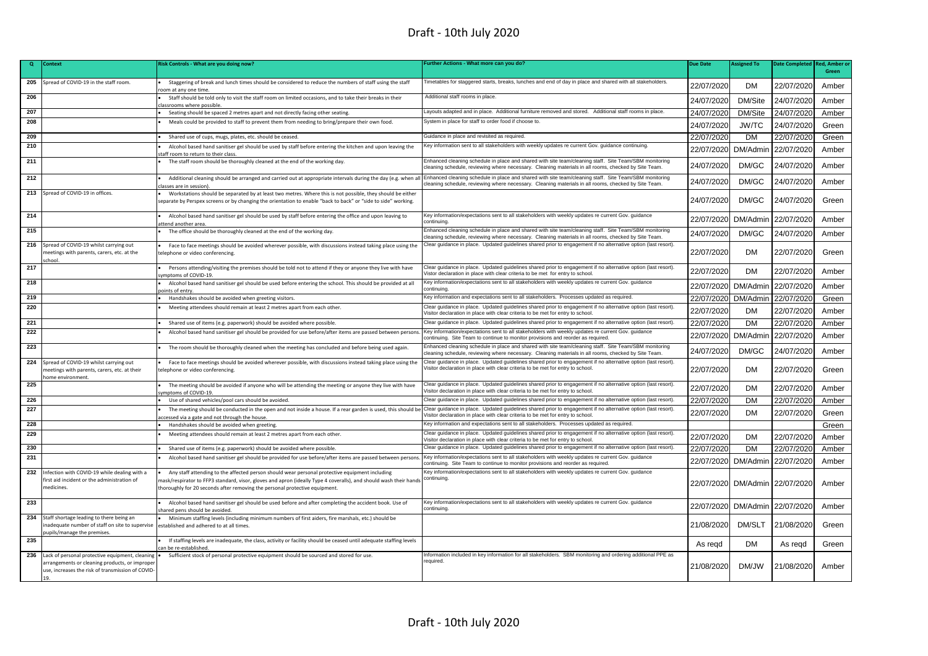| Q   | Context                                                                                                                                                | <b>Risk Controls - What are you doing now?</b>                                                                                                                                                                                                                                                     | Further Actions - What more can you do?                                                                                                                                                                        | <b>Due Date</b> | <b>Assigned To</b> | <b>Date Completed</b> | Red, Amber |
|-----|--------------------------------------------------------------------------------------------------------------------------------------------------------|----------------------------------------------------------------------------------------------------------------------------------------------------------------------------------------------------------------------------------------------------------------------------------------------------|----------------------------------------------------------------------------------------------------------------------------------------------------------------------------------------------------------------|-----------------|--------------------|-----------------------|------------|
|     |                                                                                                                                                        |                                                                                                                                                                                                                                                                                                    |                                                                                                                                                                                                                |                 |                    |                       | Green      |
| 205 | Spread of COVID-19 in the staff room.                                                                                                                  | Staggering of break and lunch times should be considered to reduce the numbers of staff using the staff<br>oom at any one time.                                                                                                                                                                    | Timetables for staggered starts, breaks, lunches and end of day in place and shared with all stakeholders.                                                                                                     | 22/07/2020      | <b>DM</b>          | 22/07/2020            | Amber      |
| 206 |                                                                                                                                                        | Staff should be told only to visit the staff room on limited occasions, and to take their breaks in their<br>classrooms where possible.                                                                                                                                                            | Additional staff rooms in place.                                                                                                                                                                               | 24/07/2020      | DM/Site            | 24/07/2020            | Amber      |
| 207 |                                                                                                                                                        | Seating should be spaced 2 metres apart and not directly facing other seating.                                                                                                                                                                                                                     | Layouts adapted and in place. Additional furniture removed and stored. Additional staff rooms in place.                                                                                                        | 24/07/2020      | DM/Site            | 24/07/2020            | Amber      |
| 208 |                                                                                                                                                        | Meals could be provided to staff to prevent them from needing to bring/prepare their own food.                                                                                                                                                                                                     | System in place for staff to order food if choose to.                                                                                                                                                          | 24/07/2020      | <b>JW/TC</b>       | 24/07/2020            | Green      |
| 209 |                                                                                                                                                        | Shared use of cups, mugs, plates, etc. should be ceased.                                                                                                                                                                                                                                           | Guidance in place and revisited as required.                                                                                                                                                                   | 22/07/2020      | <b>DM</b>          | 22/07/2020            | Green      |
| 210 |                                                                                                                                                        | Alcohol based hand sanitiser gel should be used by staff before entering the kitchen and upon leaving the<br>taff room to return to their class                                                                                                                                                    | Key information sent to all stakeholders with weekly updates re current Gov. guidance continuing.                                                                                                              | 22/07/2020      | DM/Admin           | 22/07/2020            | Amber      |
| 211 |                                                                                                                                                        | The staff room should be thoroughly cleaned at the end of the working day.                                                                                                                                                                                                                         | Enhanced cleaning schedule in place and shared with site team/cleaning staff. Site Team/SBM monitoring<br>cleaning schedule, reviewing where necessary. Cleaning materials in all rooms, checked by Site Team. | 24/07/2020      | DM/GC              | 24/07/2020            | Amber      |
| 212 |                                                                                                                                                        | Additional cleaning should be arranged and carried out at appropriate intervals during the day (e.g. when all Enhanced cleaning schedule in place and shared with site team/cleaning staff. Site Team/SBM monitoring<br>dasses are in session)                                                     | leaning schedule, reviewing where necessary. Cleaning materials in all rooms, checked by Site Team.                                                                                                            | 24/07/2020      | DM/GC              | 24/07/2020            | Amber      |
| 213 | Spread of COVID-19 in offices.                                                                                                                         | Workstations should be separated by at least two metres. Where this is not possible, they should be either<br>separate by Perspex screens or by changing the orientation to enable "back to back" or "side to side" working.                                                                       |                                                                                                                                                                                                                | 24/07/2020      | DM/GC              | 24/07/2020            | Green      |
| 214 |                                                                                                                                                        | Alcohol based hand sanitiser gel should be used by staff before entering the office and upon leaving to<br>attend another area                                                                                                                                                                     | Key information/expectations sent to all stakeholders with weekly updates re current Gov. guidance<br>continuina                                                                                               | 22/07/2020      | DM/Admin           | 22/07/2020            | Amber      |
| 215 |                                                                                                                                                        | The office should be thoroughly cleaned at the end of the working day.                                                                                                                                                                                                                             | Enhanced cleaning schedule in place and shared with site team/cleaning staff. Site Team/SBM monitoring<br>cleaning schedule, reviewing where necessary. Cleaning materials in all rooms, checked by Site Team. | 24/07/2020      | DM/GC              | 24/07/2020            | Amber      |
|     | 216 Spread of COVID-19 whilst carrying out<br>neetings with parents, carers, etc. at the                                                               | Face to face meetings should be avoided wherever possible, with discussions instead taking place using the<br>telephone or video conferencing.                                                                                                                                                     | Clear guidance in place. Updated guidelines shared prior to engagement if no alternative option (last resort).                                                                                                 | 22/07/2020      | DM                 | 22/07/2020            | Green      |
| 217 |                                                                                                                                                        | Persons attending/visiting the premises should be told not to attend if they or anyone they live with have<br>vmptoms of COVID-19.                                                                                                                                                                 | Clear guidance in place. Updated guidelines shared prior to engagement if no alternative option (last resort).<br>/istor declaration in place with clear criteria to be met for entry to school.               | 22/07/2020      | <b>DM</b>          | 22/07/2020            | Amber      |
| 218 |                                                                                                                                                        | Alcohol based hand sanitiser gel should be used before entering the school. This should be provided at all<br>noints of entry                                                                                                                                                                      | Key information/expectations sent to all stakeholders with weekly updates re current Gov. guidance<br>continuina                                                                                               | 22/07/2020      | DM/Admin           | 22/07/2020            | Amber      |
| 219 |                                                                                                                                                        | Handshakes should be avoided when greeting visitors.                                                                                                                                                                                                                                               | Key information and expectations sent to all stakeholders. Processes updated as required.                                                                                                                      | 22/07/2020      | DM/Admin           | 22/07/2020            | Green      |
| 220 |                                                                                                                                                        | Meeting attendees should remain at least 2 metres apart from each other.                                                                                                                                                                                                                           | Clear guidance in place. Updated guidelines shared prior to engagement if no alternative option (last resort).<br>Visitor declaration in place with clear criteria to be met for entry to school.              | 22/07/2020      | DM                 | 22/07/2020            | Amber      |
| 221 |                                                                                                                                                        | Shared use of items (e.g. paperwork) should be avoided where possible                                                                                                                                                                                                                              | Clear guidance in place. Updated guidelines shared prior to engagement if no alternative option (last resort).                                                                                                 | 22/07/2020      | DM                 | 22/07/2020            | Amber      |
| 222 |                                                                                                                                                        | Alcohol based hand sanitiser gel should be provided for use before/after items are passed between persons                                                                                                                                                                                          | Key information/expectations sent to all stakeholders with weekly updates re current Gov. guidance<br>continuing. Site Team to continue to monitor provisions and reorder as required.                         | 22/07/2020      | DM/Admin           | 22/07/2020            | Amber      |
| 223 |                                                                                                                                                        | The room should be thoroughly cleaned when the meeting has concluded and before being used again.                                                                                                                                                                                                  | Enhanced cleaning schedule in place and shared with site team/cleaning staff. Site Team/SBM monitoring<br>cleaning schedule, reviewing where necessary. Cleaning materials in all rooms, checked by Site Team. | 24/07/2020      | DM/GC              | 24/07/2020            | Amber      |
|     | 224 Spread of COVID-19 whilst carrying out<br>neetings with parents, carers, etc. at their<br>ome environment.                                         | Face to face meetings should be avoided wherever possible, with discussions instead taking place using the<br>telephone or video conferencing.                                                                                                                                                     | Clear guidance in place. Updated guidelines shared prior to engagement if no alternative option (last resort).<br>/isitor declaration in place with clear criteria to be met for entry to school.              | 22/07/2020      | DM                 | 22/07/2020            | Green      |
| 225 |                                                                                                                                                        | The meeting should be avoided if anyone who will be attending the meeting or anyone they live with have<br>ymptoms of COVID-19                                                                                                                                                                     | Clear quidance in place. Updated quidelines shared prior to engagement if no alternative option (last resort).<br>Visitor declaration in place with clear criteria to be met for entry to school.              | 22/07/2020      | <b>DM</b>          | 22/07/2020            | Amber      |
| 226 |                                                                                                                                                        | Use of shared vehicles/pool cars should be avoided.                                                                                                                                                                                                                                                | Clear guidance in place. Updated guidelines shared prior to engagement if no alternative option (last resort).                                                                                                 | 22/07/2020      | DM                 | 22/07/2020            | Amber      |
| 227 |                                                                                                                                                        | The meeting should be conducted in the open and not inside a house. If a rear garden is used, this should be Clear guidance in place. Updated guidelines shared prior to engagement if no alternative option (last resort).<br>accessed via a gate and not through the house.                      | Visitor declaration in place with clear criteria to be met for entry to school.                                                                                                                                | 22/07/2020      | DM                 | 22/07/2020            | Green      |
| 228 |                                                                                                                                                        | Handshakes should be avoided when greeting.                                                                                                                                                                                                                                                        | Key information and expectations sent to all stakeholders. Processes updated as required.                                                                                                                      |                 |                    |                       | Green      |
| 229 |                                                                                                                                                        | Meeting attendees should remain at least 2 metres apart from each other.                                                                                                                                                                                                                           | Clear quidance in place. Updated quidelines shared prior to engagement if no alternative option (last resort).<br>Visitor declaration in place with clear criteria to be met for entry to school.              | 22/07/2020      | <b>DM</b>          | 22/07/2020            | Amber      |
| 230 |                                                                                                                                                        | Shared use of items (e.g. paperwork) should be avoided where possible                                                                                                                                                                                                                              | Clear guidance in place. Updated guidelines shared prior to engagement if no alternative option (last resort).                                                                                                 | 22/07/2020      | <b>DM</b>          | 22/07/2020            | Amber      |
| 231 |                                                                                                                                                        | Alcohol based hand sanitiser gel should be provided for use before/after items are passed between persons                                                                                                                                                                                          | Key information/expectations sent to all stakeholders with weekly updates re current Gov. guidance<br>continuing. Site Team to continue to monitor provisions and reorder as required.                         | 22/07/2020      | DM/Admin           | 22/07/2020            | Amber      |
| 232 | Infection with COVID-19 while dealing with a<br>irst aid incident or the administration of<br>nedicines.                                               | Any staff attending to the affected person should wear personal protective equipment including<br>mask/respirator to FFP3 standard, visor, gloves and apron (ideally Type 4 coveralls), and should wash their hands<br>thoroughly for 20 seconds after removing the personal protective equipment. | Key information/expectations sent to all stakeholders with weekly updates re current Gov. guidance<br>continuing.                                                                                              | 22/07/2020      |                    | DM/Admin 22/07/2020   | Amber      |
| 233 |                                                                                                                                                        | Alcohol based hand sanitiser gel should be used before and after completing the accident book. Use of<br>shared pens should be avoided                                                                                                                                                             | Key information/expectations sent to all stakeholders with weekly updates re current Gov. guidance<br>continuina                                                                                               | 22/07/2020      | DM/Admin           | 22/07/2020            | Amber      |
| 234 | Staff shortage leading to there being an<br>nadequate number of staff on site to supervise<br>upils/manage the premises.                               | Minimum staffing levels (including minimum numbers of first aiders, fire marshals, etc.) should be<br>established and adhered to at all times.                                                                                                                                                     |                                                                                                                                                                                                                | 21/08/2020      | DM/SLT             | 21/08/2020            | Green      |
| 235 |                                                                                                                                                        | If staffing levels are inadequate, the class, activity or facility should be ceased until adequate staffing levels<br>an be re-established.                                                                                                                                                        |                                                                                                                                                                                                                | As regd         | DM                 | As regd               | Green      |
| 236 | Lack of personal protective equipment, cleaning<br>arrangements or cleaning products, or improper<br>use, increases the risk of transmission of COVID- | Sufficient stock of personal protective equipment should be sourced and stored for use.                                                                                                                                                                                                            | Information included in key information for all stakeholders. SBM monitoring and ordering additional PPE as<br>required.                                                                                       | 21/08/2020      | DM/JW              | 21/08/2020            | Amber      |